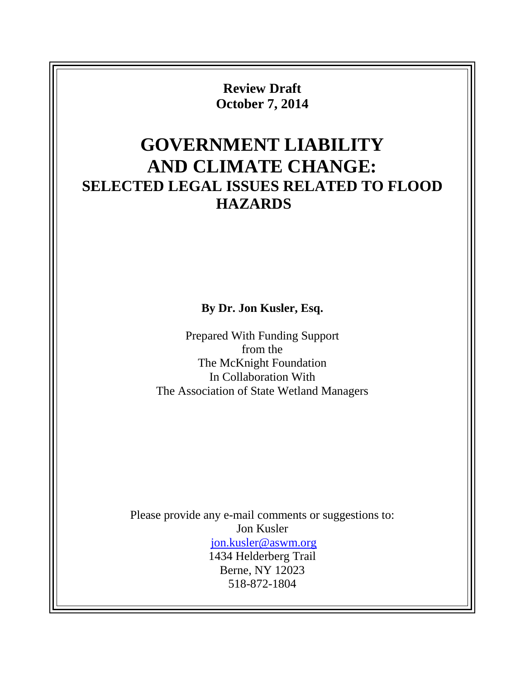**Review Draft October 7, 2014**

# **GOVERNMENT LIABILITY AND CLIMATE CHANGE: SELECTED LEGAL ISSUES RELATED TO FLOOD HAZARDS**

**By Dr. Jon Kusler, Esq.**

Prepared With Funding Support from the The McKnight Foundation In Collaboration With The Association of State Wetland Managers

Please provide any e-mail comments or suggestions to: Jon Kusler [jon.kusler@aswm.org](mailto:jon.kusler@aswm.org) 1434 Helderberg Trail Berne, NY 12023 518-872-1804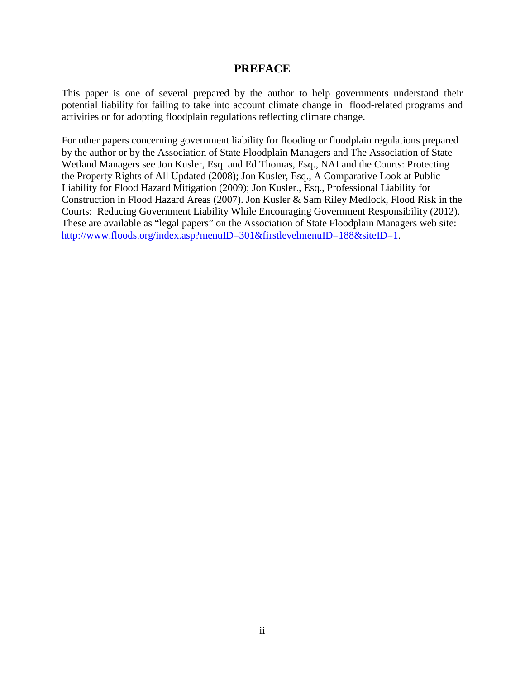#### **PREFACE**

This paper is one of several prepared by the author to help governments understand their potential liability for failing to take into account climate change in flood-related programs and activities or for adopting floodplain regulations reflecting climate change.

For other papers concerning government liability for flooding or floodplain regulations prepared by the author or by the Association of State Floodplain Managers and The Association of State Wetland Managers see Jon Kusler, Esq. and Ed Thomas, Esq., NAI and the Courts: Protecting the Property Rights of All Updated (2008); Jon Kusler, Esq., A Comparative Look at Public Liability for Flood Hazard Mitigation (2009); Jon Kusler., Esq., Professional Liability for Construction in Flood Hazard Areas (2007). Jon Kusler & Sam Riley Medlock, Flood Risk in the Courts: Reducing Government Liability While Encouraging Government Responsibility (2012). These are available as "legal papers" on the Association of State Floodplain Managers web site: [http://www.floods.org/index.asp?menuID=301&firstlevelmenuID=188&siteID=1.](http://www.floods.org/index.asp?menuID=301&firstlevelmenuID=188&siteID=1)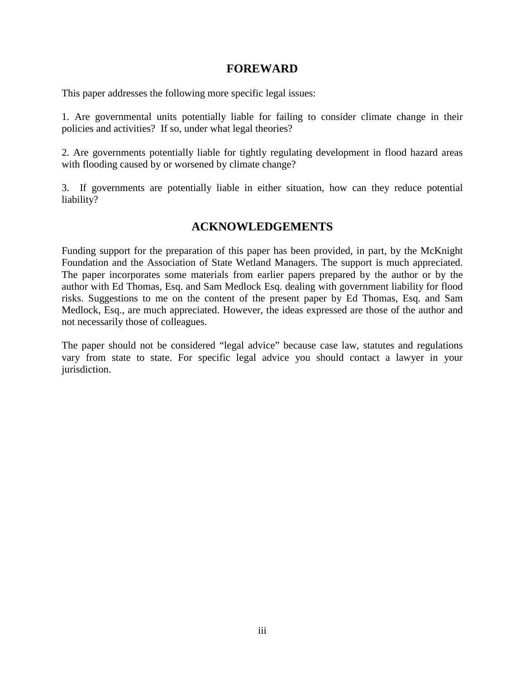#### **FOREWARD**

This paper addresses the following more specific legal issues:

1. Are governmental units potentially liable for failing to consider climate change in their policies and activities? If so, under what legal theories?

2. Are governments potentially liable for tightly regulating development in flood hazard areas with flooding caused by or worsened by climate change?

3. If governments are potentially liable in either situation, how can they reduce potential liability?

# **ACKNOWLEDGEMENTS**

Funding support for the preparation of this paper has been provided, in part, by the McKnight Foundation and the Association of State Wetland Managers. The support is much appreciated. The paper incorporates some materials from earlier papers prepared by the author or by the author with Ed Thomas, Esq. and Sam Medlock Esq. dealing with government liability for flood risks. Suggestions to me on the content of the present paper by Ed Thomas, Esq. and Sam Medlock, Esq., are much appreciated. However, the ideas expressed are those of the author and not necessarily those of colleagues.

The paper should not be considered "legal advice" because case law, statutes and regulations vary from state to state. For specific legal advice you should contact a lawyer in your jurisdiction.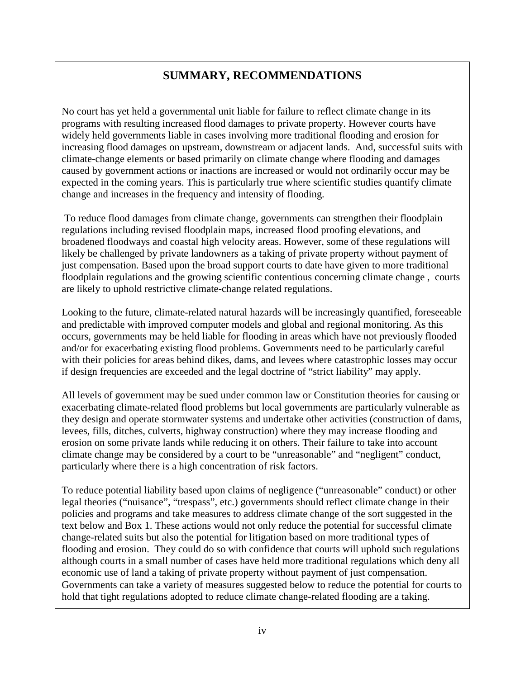# **SUMMARY, RECOMMENDATIONS**

No court has yet held a governmental unit liable for failure to reflect climate change in its programs with resulting increased flood damages to private property. However courts have widely held governments liable in cases involving more traditional flooding and erosion for increasing flood damages on upstream, downstream or adjacent lands. And, successful suits with climate-change elements or based primarily on climate change where flooding and damages caused by government actions or inactions are increased or would not ordinarily occur may be expected in the coming years. This is particularly true where scientific studies quantify climate change and increases in the frequency and intensity of flooding.

To reduce flood damages from climate change, governments can strengthen their floodplain regulations including revised floodplain maps, increased flood proofing elevations, and broadened floodways and coastal high velocity areas. However, some of these regulations will likely be challenged by private landowners as a taking of private property without payment of just compensation. Based upon the broad support courts to date have given to more traditional floodplain regulations and the growing scientific contentious concerning climate change , courts are likely to uphold restrictive climate-change related regulations.

Looking to the future, climate-related natural hazards will be increasingly quantified, foreseeable and predictable with improved computer models and global and regional monitoring. As this occurs, governments may be held liable for flooding in areas which have not previously flooded and/or for exacerbating existing flood problems. Governments need to be particularly careful with their policies for areas behind dikes, dams, and levees where catastrophic losses may occur if design frequencies are exceeded and the legal doctrine of "strict liability" may apply.

All levels of government may be sued under common law or Constitution theories for causing or exacerbating climate-related flood problems but local governments are particularly vulnerable as they design and operate stormwater systems and undertake other activities (construction of dams, levees, fills, ditches, culverts, highway construction) where they may increase flooding and erosion on some private lands while reducing it on others. Their failure to take into account climate change may be considered by a court to be "unreasonable" and "negligent" conduct, particularly where there is a high concentration of risk factors.

To reduce potential liability based upon claims of negligence ("unreasonable" conduct) or other legal theories ("nuisance", "trespass", etc.) governments should reflect climate change in their policies and programs and take measures to address climate change of the sort suggested in the text below and Box 1. These actions would not only reduce the potential for successful climate change-related suits but also the potential for litigation based on more traditional types of flooding and erosion. They could do so with confidence that courts will uphold such regulations although courts in a small number of cases have held more traditional regulations which deny all economic use of land a taking of private property without payment of just compensation. Governments can take a variety of measures suggested below to reduce the potential for courts to hold that tight regulations adopted to reduce climate change-related flooding are a taking.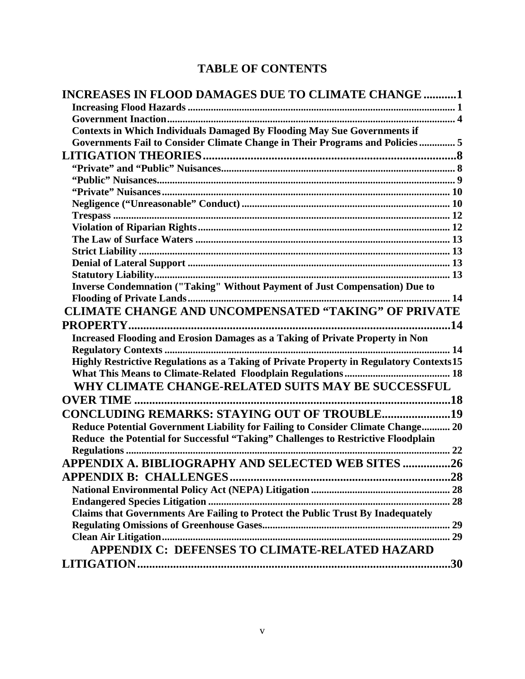# **TABLE OF CONTENTS**

| <b>INCREASES IN FLOOD DAMAGES DUE TO CLIMATE CHANGE 1</b>                               |  |
|-----------------------------------------------------------------------------------------|--|
|                                                                                         |  |
|                                                                                         |  |
| <b>Contexts in Which Individuals Damaged By Flooding May Sue Governments if</b>         |  |
| Governments Fail to Consider Climate Change in Their Programs and Policies 5            |  |
|                                                                                         |  |
|                                                                                         |  |
|                                                                                         |  |
|                                                                                         |  |
|                                                                                         |  |
|                                                                                         |  |
|                                                                                         |  |
|                                                                                         |  |
|                                                                                         |  |
|                                                                                         |  |
|                                                                                         |  |
| Inverse Condemnation ("Taking" Without Payment of Just Compensation) Due to             |  |
|                                                                                         |  |
| CLIMATE CHANGE AND UNCOMPENSATED "TAKING" OF PRIVATE                                    |  |
|                                                                                         |  |
| <b>Increased Flooding and Erosion Damages as a Taking of Private Property in Non</b>    |  |
| 14                                                                                      |  |
| Highly Restrictive Regulations as a Taking of Private Property in Regulatory Contexts15 |  |
|                                                                                         |  |
| WHY CLIMATE CHANGE-RELATED SUITS MAY BE SUCCESSFUL                                      |  |
| <b>OVER TIME</b>                                                                        |  |
| <b>CONCLUDING REMARKS: STAYING OUT OF TROUBLE19</b>                                     |  |
| Reduce Potential Government Liability for Failing to Consider Climate Change 20         |  |
| Reduce the Potential for Successful "Taking" Challenges to Restrictive Floodplain       |  |
| 22                                                                                      |  |
| APPENDIX A. BIBLIOGRAPHY AND SELECTED WEB SITES 26                                      |  |
|                                                                                         |  |
|                                                                                         |  |
|                                                                                         |  |
| Claims that Governments Are Failing to Protect the Public Trust By Inadequately         |  |
|                                                                                         |  |
|                                                                                         |  |
| APPENDIX C: DEFENSES TO CLIMATE-RELATED HAZARD                                          |  |
|                                                                                         |  |
|                                                                                         |  |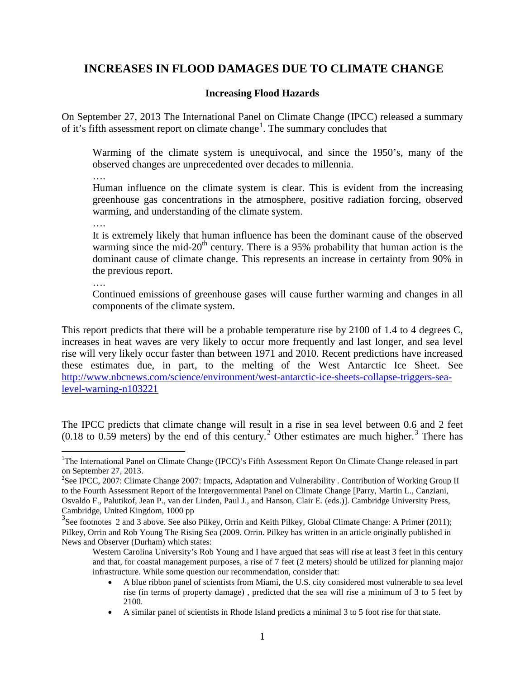# <span id="page-5-0"></span>**INCREASES IN FLOOD DAMAGES DUE TO CLIMATE CHANGE**

#### **Increasing Flood Hazards**

<span id="page-5-1"></span>On September 27, 2013 The International Panel on Climate Change (IPCC) released a summary of it's fifth assessment report on climate change<sup>[1](#page-5-2)</sup>. The summary concludes that

Warming of the climate system is unequivocal, and since the 1950's, many of the observed changes are unprecedented over decades to millennia.

….

Human influence on the climate system is clear. This is evident from the increasing greenhouse gas concentrations in the atmosphere, positive radiation forcing, observed warming, and understanding of the climate system.

….

It is extremely likely that human influence has been the dominant cause of the observed warming since the mid-20<sup>th</sup> century. There is a 95% probability that human action is the dominant cause of climate change. This represents an increase in certainty from 90% in the previous report.

….

Continued emissions of greenhouse gases will cause further warming and changes in all components of the climate system.

This report predicts that there will be a probable temperature rise by 2100 of 1.4 to 4 degrees C, increases in heat waves are very likely to occur more frequently and last longer, and sea level rise will very likely occur faster than between 1971 and 2010. Recent predictions have increased these estimates due, in part, to the melting of the West Antarctic Ice Sheet. See [http://www.nbcnews.com/science/environment/west-antarctic-ice-sheets-collapse-triggers-sea](http://www.nbcnews.com/science/environment/west-antarctic-ice-sheets-collapse-triggers-sea-level-warning-n103221)[level-warning-n103221](http://www.nbcnews.com/science/environment/west-antarctic-ice-sheets-collapse-triggers-sea-level-warning-n103221)

The IPCC predicts that climate change will result in a rise in sea level between 0.6 and 2 feet  $(0.18 \text{ to } 0.59 \text{ meters})$  by the end of this century.<sup>[2](#page-5-3)</sup> Other estimates are much higher.<sup>[3](#page-5-4)</sup> There has

- A blue ribbon panel of scientists from Miami, the U.S. city considered most vulnerable to sea level rise (in terms of property damage) , predicted that the sea will rise a minimum of 3 to 5 feet by 2100.
- A similar panel of scientists in Rhode Island predicts a minimal 3 to 5 foot rise for that state.

<span id="page-5-2"></span> $\frac{1}{1}$ <sup>1</sup>The International Panel on Climate Change (IPCC)'s Fifth Assessment Report On Climate Change released in part on September 27, 2013.

<span id="page-5-3"></span><sup>&</sup>lt;sup>2</sup>See [IPCC, 2007: Climate Change 2007: Impacts, Adaptation and Vulnerability](http://www.ipcc-wg2.org/index.html) . Contribution of Working Group II to the Fourth Assessment Report of the Intergovernmental Panel on Climate Change [Parry, Martin L., Canziani, Osvaldo F., Palutikof, Jean P., van der Linden, Paul J., and Hanson, Clair E. (eds.)]. Cambridge University Press, Cambridge, United Kingdom, 1000 pp

<span id="page-5-4"></span><sup>&</sup>lt;sup>3</sup>See footnotes 2 and 3 above. See also Pilkey, Orrin and Keith Pilkey, Global Climate Change: A Primer (2011); Pilkey, Orrin and Rob Young The Rising Sea (2009. Orrin. Pilkey has written in an article [originally published in](http://www.newsobserver.com/opinion/columnists_blogs/other_views/story/213460.html)  [News and Observer](http://www.newsobserver.com/opinion/columnists_blogs/other_views/story/213460.html) (Durham) which states:

Western Carolina University's Rob Young and I have argued that seas will rise at least 3 feet in this century and that, for coastal management purposes, a rise of 7 feet (2 meters) should be utilized for planning major infrastructure. While some question our recommendation, consider that: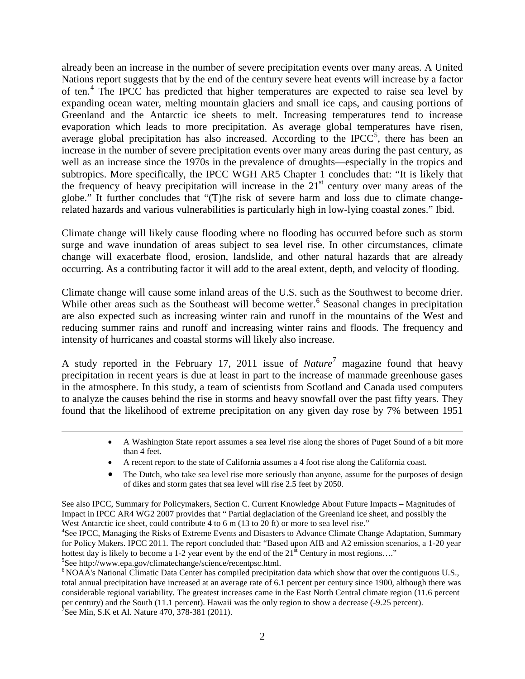already been an increase in the number of severe precipitation events over many areas. A United Nations report suggests that by the end of the century severe heat events will increase by a factor of ten.<sup>[4](#page-6-0)</sup> The IPCC has predicted that higher temperatures are expected to raise sea level by expanding ocean water, melting mountain glaciers and small ice caps, and causing portions of Greenland and the Antarctic [ice sheets to melt.](http://www.epa.gov/climatechange/science/futureslc.html#icesheets) Increasing temperatures tend to increase evaporation which leads to more precipitation. As average global temperatures have risen, average global precipitation has also increased. According to the IPCC $5$ , there has been an increase in the number of severe precipitation events over many areas during the past century, as well as an increase since the 1970s in the prevalence of droughts—especially in the tropics and subtropics. More specifically, the IPCC WGH AR5 Chapter 1 concludes that: "It is likely that the frequency of heavy precipitation will increase in the  $21<sup>st</sup>$  century over many areas of the globe." It further concludes that "(T)he risk of severe harm and loss due to climate changerelated hazards and various vulnerabilities is particularly high in low-lying coastal zones." Ibid.

Climate change will likely cause flooding where no flooding has occurred before such as storm surge and wave inundation of areas subject to sea level rise. In other circumstances, climate change will exacerbate flood, erosion, landslide, and other natural hazards that are already occurring. As a contributing factor it will add to the areal extent, depth, and velocity of flooding.

Climate change will cause some inland areas of the U.S. such as the Southwest to become drier. While other areas such as the Southeast will become wetter.<sup>[6](#page-6-2)</sup> Seasonal changes in precipitation are also expected such as increasing winter rain and runoff in the mountains of the West and reducing summer rains and runoff and increasing winter rains and floods. The frequency and intensity of hurricanes and coastal storms will likely also increase.

A study reported in the February 17, 2011 issue of *Nature*[7](#page-6-3) magazine found that heavy precipitation in recent years is due at least in part to the increase of manmade greenhouse gases in the atmosphere. In this study, a team of scientists from Scotland and Canada used computers to analyze the causes behind the rise in storms and heavy snowfall over the past fifty years. They found that the likelihood of extreme precipitation on any given day rose by 7% between 1951

 $\overline{a}$ 

- A Washington State report assumes a sea level rise along the shores of Puget Sound of a bit more than 4 feet.
- A recent report to the state of California assumes a 4 foot rise along the California coast.
- The Dutch, who take sea level rise more seriously than anyone, assume for the purposes of design of dikes and storm gates that sea level will rise 2.5 feet by 2050.

See also IPCC, [Summary for Policymakers,](http://www.ipcc.ch/publications_and_data/ar4/wg2/en/spm.html) [Section C. Current Knowledge About Future Impacts –](http://www.ipcc.ch/publications_and_data/ar4/wg2/en/spmsspm-c-15-magnitudes-of.html) Magnitudes of [Impact](http://www.ipcc.ch/publications_and_data/ar4/wg2/en/spmsspm-c-15-magnitudes-of.html) in [IPCC AR4 WG2 2007](http://en.wikipedia.org/wiki/Current_sea_level_rise#CITEREFIPCC_AR4_WG22007) provides that " Partial [deglaciation](http://en.wikipedia.org/wiki/Deglaciation) of the [Greenland ice sheet,](http://en.wikipedia.org/wiki/Greenland_ice_sheet) and possibly the [West Antarctic ice sheet,](http://en.wikipedia.org/wiki/West_Antarctic_ice_sheet) could contribute [4](http://en.wikipedia.org/wiki/West_Antarctic_ice_sheet) to 6 m (13 to 20 ft) or more to sea level rise."

<span id="page-6-0"></span><sup>4</sup>See IPCC, Managing the Risks of Extreme Events and Disasters to Advance Climate Change Adaptation, Summary for Policy Makers. IPCC 2011. The report concluded that: "Based upon AIB and A2 emission scenarios, a 1-20 year hottest day is likely to become a 1-2 year event by the end of the  $21<sup>st</sup>$  Century in most regions...."<br><sup>5</sup>See http://www.epa.gov/climatechange/science/recentpsc.html.

<span id="page-6-3"></span><span id="page-6-2"></span><span id="page-6-1"></span> $6NOAA$ 's National Climatic Data Center has compiled precipitation data which show that over the contiguous U.S., total annual precipitation have increased at an average rate of 6.1 percent per century since 1900, although there was considerable regional variability. The greatest increases came in the East North Central climate region (11.6 percent per century) and the South (11.1 percent). Hawaii was the only region to show a decrease (-9.25 percent). <sup>7</sup>See Min, S.K et Al. Nature 470, 378-381 (2011).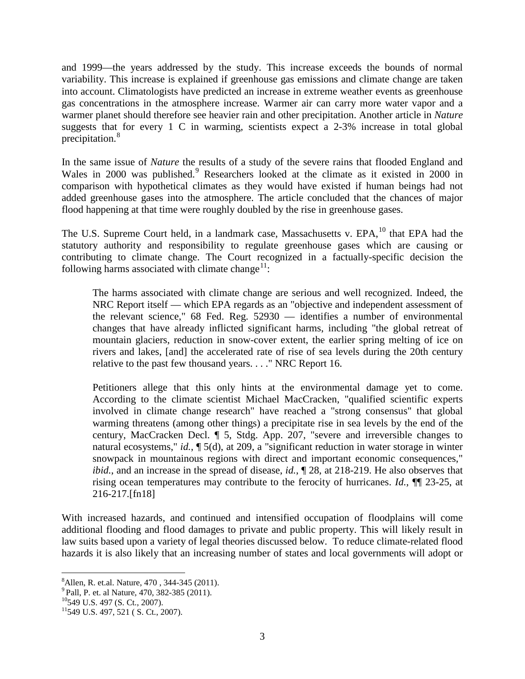and 1999—the years addressed by the study. This increase exceeds the bounds of normal variability. This increase is explained if greenhouse gas emissions and climate change are taken into account. Climatologists [have predicted](http://ipccinfo.com/extreme.php) an increase in extreme weather events as greenhouse gas concentrations in the atmosphere increase. Warmer air can carry more water vapor and a warmer planet should therefore see heavier rain and other precipitation. Another article in *Nature*  suggests that for every 1 C in warming, scientists expect a 2-3% increase in total global precipitation.[8](#page-7-0)

In the same issue of *Nature* the results of a study of the severe rains that flooded England and Wales in 2000 was published. [9](#page-7-1) Researchers looked at the climate as it existed in 2000 in comparison with hypothetical climates as they would have existed if human beings had not added greenhouse gases into the atmosphere. The article concluded that the chances of major flood happening at that time were roughly doubled by the rise in greenhouse gases.

The U.S. Supreme Court held, in a landmark case, Massachusetts v. EPA, <sup>[10](#page-7-2)</sup> that EPA had the statutory authority and responsibility to regulate greenhouse gases which are causing or contributing to climate change. The Court recognized in a factually-specific decision the following harms associated with climate change<sup>[11](#page-7-3)</sup>:

The harms associated with climate change are serious and well recognized. Indeed, the NRC Report itself — which EPA regards as an "objective and independent assessment of the relevant science," 68 Fed. Reg. 52930 — identifies a number of environmental changes that have already inflicted significant harms, including "the global retreat of mountain glaciers, reduction in snow-cover extent, the earlier spring melting of ice on rivers and lakes, [and] the accelerated rate of rise of sea levels during the 20th century relative to the past few thousand years. . . ." NRC Report 16.

Petitioners allege that this only hints at the environmental damage yet to come. According to the climate scientist Michael MacCracken, "qualified scientific experts involved in climate change research" have reached a "strong consensus" that global warming threatens (among other things) a precipitate rise in sea levels by the end of the century, MacCracken Decl. ¶ 5, Stdg. App. 207, "severe and irreversible changes to natural ecosystems," *id.*, ¶ 5(d), at 209, a "significant reduction in water storage in winter snowpack in mountainous regions with direct and important economic consequences," *ibid.*, and an increase in the spread of disease, *id.*, ¶ 28, at 218-219. He also observes that rising ocean temperatures may contribute to the ferocity of hurricanes. *Id.*, ¶¶ 23-25, at 216-217.[fn18]

With increased hazards, and continued and intensified occupation of floodplains will come additional flooding and flood damages to private and public property. This will likely result in law suits based upon a variety of legal theories discussed below. To reduce climate-related flood hazards it is also likely that an increasing number of states and local governments will adopt or

<span id="page-7-0"></span> <sup>8</sup> <sup>8</sup> Allen, R. et.al. Nature, 470, 344-345 (2011).<br><sup>9</sup> Pall, P. et. al Nature, 470, 382-385 (2011).<br><sup>10</sup>549 U.S. 497 (S. Ct., 2007).<br><sup>11</sup>549 U.S. 497, 521 ( S. Ct., 2007).

<span id="page-7-1"></span>

<span id="page-7-2"></span>

<span id="page-7-3"></span>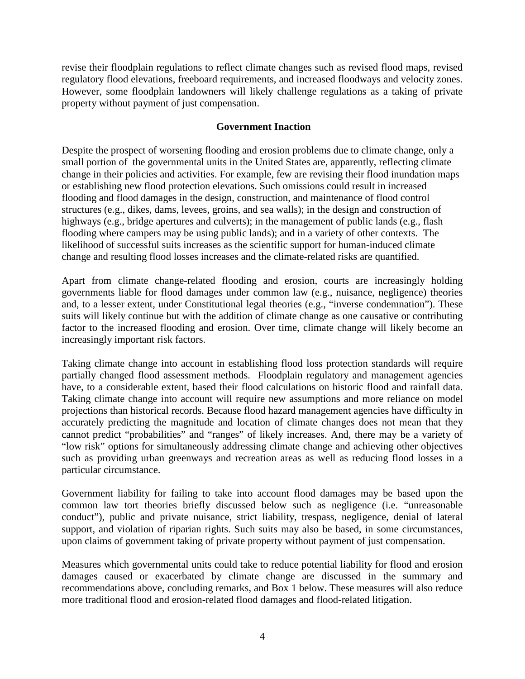revise their floodplain regulations to reflect climate changes such as revised flood maps, revised regulatory flood elevations, freeboard requirements, and increased floodways and velocity zones. However, some floodplain landowners will likely challenge regulations as a taking of private property without payment of just compensation.

#### <span id="page-8-0"></span>**Government Inaction**

Despite the prospect of worsening flooding and erosion problems due to climate change, only a small portion of the governmental units in the United States are, apparently, reflecting climate change in their policies and activities. For example, few are revising their flood inundation maps or establishing new flood protection elevations. Such omissions could result in increased flooding and flood damages in the design, construction, and maintenance of flood control structures (e.g., dikes, dams, levees, groins, and sea walls); in the design and construction of highways (e.g., bridge apertures and culverts); in the management of public lands (e.g., flash flooding where campers may be using public lands); and in a variety of other contexts. The likelihood of successful suits increases as the scientific support for human-induced climate change and resulting flood losses increases and the climate-related risks are quantified.

Apart from climate change-related flooding and erosion, courts are increasingly holding governments liable for flood damages under common law (e.g., nuisance, negligence) theories and, to a lesser extent, under Constitutional legal theories (e.g., "inverse condemnation"). These suits will likely continue but with the addition of climate change as one causative or contributing factor to the increased flooding and erosion. Over time, climate change will likely become an increasingly important risk factors.

Taking climate change into account in establishing flood loss protection standards will require partially changed flood assessment methods. Floodplain regulatory and management agencies have, to a considerable extent, based their flood calculations on historic flood and rainfall data. Taking climate change into account will require new assumptions and more reliance on model projections than historical records. Because flood hazard management agencies have difficulty in accurately predicting the magnitude and location of climate changes does not mean that they cannot predict "probabilities" and "ranges" of likely increases. And, there may be a variety of "low risk" options for simultaneously addressing climate change and achieving other objectives such as providing urban greenways and recreation areas as well as reducing flood losses in a particular circumstance.

Government liability for failing to take into account flood damages may be based upon the common law tort theories briefly discussed below such as negligence (i.e. "unreasonable conduct"), public and private nuisance, strict liability, trespass, negligence, denial of lateral support, and violation of riparian rights. Such suits may also be based, in some circumstances, upon claims of government taking of private property without payment of just compensation.

Measures which governmental units could take to reduce potential liability for flood and erosion damages caused or exacerbated by climate change are discussed in the summary and recommendations above, concluding remarks, and Box 1 below. These measures will also reduce more traditional flood and erosion-related flood damages and flood-related litigation.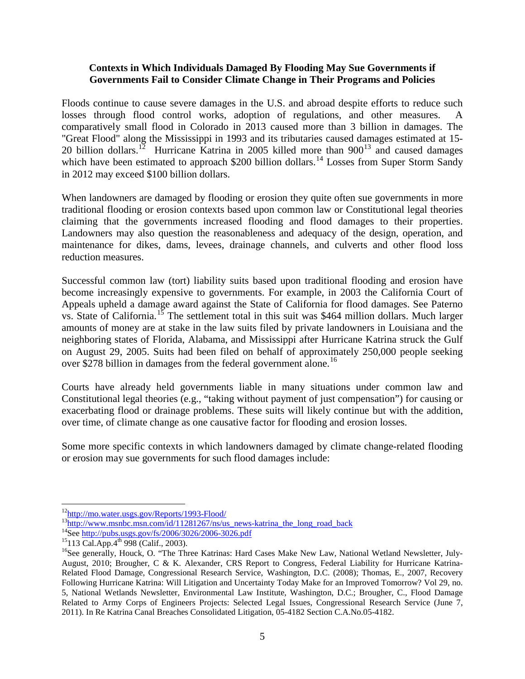#### <span id="page-9-0"></span>**Contexts in Which Individuals Damaged By Flooding May Sue Governments if Governments Fail to Consider Climate Change in Their Programs and Policies**

Floods continue to cause severe damages in the U.S. and abroad despite efforts to reduce such losses through flood control works, adoption of regulations, and other measures. A comparatively small flood in Colorado in 2013 caused more than 3 billion in damages. The "Great Flood" along the Mississippi in 1993 and its tributaries caused damages estimated at 15- 20 billion dollars.<sup>12</sup> Hurricane Katrina in 2005 killed more than  $900^{13}$  $900^{13}$  $900^{13}$  and caused damages which have been estimated to approach \$200 billion dollars.<sup>[14](#page-9-3)</sup> Losses from Super Storm Sandy in 2012 may exceed \$100 billion dollars.

When landowners are damaged by flooding or erosion they quite often sue governments in more traditional flooding or erosion contexts based upon common law or Constitutional legal theories claiming that the governments increased flooding and flood damages to their properties. Landowners may also question the reasonableness and adequacy of the design, operation, and maintenance for dikes, dams, levees, drainage channels, and culverts and other flood loss reduction measures.

Successful common law (tort) liability suits based upon traditional flooding and erosion have become increasingly expensive to governments. For example, in 2003 the California Court of Appeals upheld a damage award against the State of California for flood damages. See Paterno vs. State of California.<sup>[15](#page-9-4)</sup> The settlement total in this suit was \$464 million dollars. Much larger amounts of money are at stake in the law suits filed by private landowners in Louisiana and the neighboring states of Florida, Alabama, and Mississippi after Hurricane Katrina struck the Gulf on August 29, 2005. Suits had been filed on behalf of approximately 250,000 people seeking over \$278 billion in damages from the federal government alone.<sup>[16](#page-9-5)</sup>

Courts have already held governments liable in many situations under common law and Constitutional legal theories (e.g., "taking without payment of just compensation") for causing or exacerbating flood or drainage problems. These suits will likely continue but with the addition, over time, of climate change as one causative factor for flooding and erosion losses.

Some more specific contexts in which landowners damaged by climate change-related flooding or erosion may sue governments for such flood damages include:

<span id="page-9-3"></span>

<span id="page-9-5"></span><span id="page-9-4"></span>

<span id="page-9-2"></span><span id="page-9-1"></span> $^{12}$ http://mo.water.usgs.gov/Reports/1993-Flood/<br> $^{13}$ http://www.msnbc.msn.com/id/11281267/ns/us\_news-katrina\_the\_long\_road\_back<br> $^{14}$ See<http://pubs.usgs.gov/fs/2006/3026/2006-3026.pdf><br> $^{14}$ See http://pubs.usgs.gov/ August, 2010; Brougher, C & K. Alexander, CRS Report to Congress, Federal Liability for Hurricane Katrina-Related Flood Damage, Congressional Research Service, Washington, D.C. (2008); Thomas, E., 2007, Recovery Following Hurricane Katrina: Will Litigation and Uncertainty Today Make for an Improved Tomorrow? Vol 29, no. 5, National Wetlands Newsletter, Environmental Law Institute, Washington, D.C.; Brougher, C., Flood Damage Related to Army Corps of Engineers Projects: Selected Legal Issues, Congressional Research Service (June 7, 2011). In Re Katrina Canal Breaches Consolidated Litigation, 05-4182 Section C.A.No.05-4182.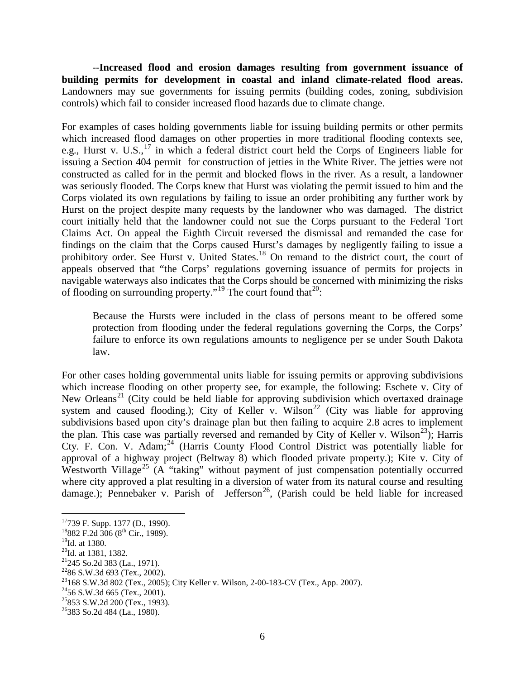--**Increased flood and erosion damages resulting from government issuance of building permits for development in coastal and inland climate-related flood areas.** Landowners may sue governments for issuing permits (building codes, zoning, subdivision controls) which fail to consider increased flood hazards due to climate change.

For examples of cases holding governments liable for issuing building permits or other permits which increased flood damages on other properties in more traditional flooding contexts see, e.g., Hurst v. U.S.,<sup>[17](#page-10-0)</sup> in which a federal district court held the Corps of Engineers liable for issuing a Section 404 permit for construction of jetties in the White River. The jetties were not constructed as called for in the permit and blocked flows in the river. As a result, a landowner was seriously flooded. The Corps knew that Hurst was violating the permit issued to him and the Corps violated its own regulations by failing to issue an order prohibiting any further work by Hurst on the project despite many requests by the landowner who was damaged. The district court initially held that the landowner could not sue the Corps pursuant to the Federal Tort Claims Act. On appeal the Eighth Circuit reversed the dismissal and remanded the case for findings on the claim that the Corps caused Hurst's damages by negligently failing to issue a prohibitory order. See Hurst v. United States.<sup>[18](#page-10-1)</sup> On remand to the district court, the court of appeals observed that "the Corps' regulations governing issuance of permits for projects in navigable waterways also indicates that the Corps should be concerned with minimizing the risks of flooding on surrounding property."<sup>[19](#page-10-2)</sup> The court found that  $2^0$ :

Because the Hursts were included in the class of persons meant to be offered some protection from flooding under the federal regulations governing the Corps, the Corps' failure to enforce its own regulations amounts to negligence per se under South Dakota law.

For other cases holding governmental units liable for issuing permits or approving subdivisions which increase flooding on other property see, for example, the following: Eschete v. City of New Orleans<sup>[21](#page-10-4)</sup> (City could be held liable for approving subdivision which overtaxed drainage system and caused flooding.); City of Keller v. Wilson<sup>[22](#page-10-5)</sup> (City was liable for approving subdivisions based upon city's drainage plan but then failing to acquire 2.8 acres to implement the plan. This case was partially reversed and remanded by City of Keller v. Wilson<sup>23</sup>); Harris Cty. F. Con. V. Adam;<sup>[24](#page-10-7)</sup> (Harris County Flood Control District was potentially liable for approval of a highway project (Beltway 8) which flooded private property.); Kite v. City of Westworth Village<sup>[25](#page-10-8)</sup> (A "taking" without payment of just compensation potentially occurred where city approved a plat resulting in a diversion of water from its natural course and resulting damage.); Pennebaker v. Parish of Jefferson<sup>26</sup>, (Parish could be held liable for increased

<span id="page-10-0"></span><sup>&</sup>lt;sup>17</sup>739 F. Supp. 1377 (D., 1990).

 $18882$  F.2d  $306$  ( $8^{\text{th}}$  Cir., 1989).

<span id="page-10-1"></span><sup>&</sup>lt;sup>19</sup>Id. at 1380.

<span id="page-10-3"></span><span id="page-10-2"></span> $^{20}$ Id. at 1381, 1382.<br><sup>21</sup>245 So.2d 383 (La., 1971).

<span id="page-10-6"></span><span id="page-10-5"></span><span id="page-10-4"></span><sup>&</sup>lt;sup>22</sup>86 S.W.3d 693 (Tex., 2002).<br><sup>23</sup>168 S.W.3d 802 (Tex., 2005); City Keller v. Wilson, 2-00-183-CV (Tex., App. 2007).<br><sup>24</sup>56 S.W.3d 665 (Tex., 2001).<br><sup>25</sup>853 S.W.2d 200 (Tex., 1993).<br><sup>25</sup>883 So.2d 484 (La., 1980).

<span id="page-10-7"></span>

<span id="page-10-8"></span>

<span id="page-10-9"></span>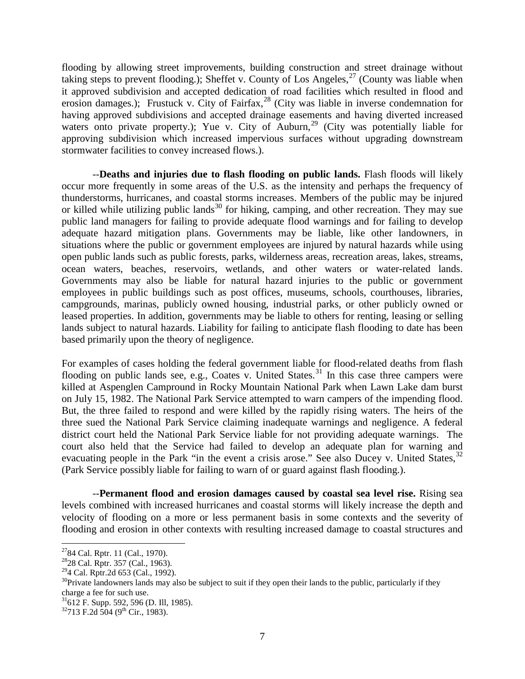flooding by allowing street improvements, building construction and street drainage without taking steps to prevent flooding.); Sheffet v. County of Los Angeles,  $27$  (County was liable when it approved subdivision and accepted dedication of road facilities which resulted in flood and erosion damages.); Frustuck v. City of Fairfax,  $^{28}$  $^{28}$  $^{28}$  (City was liable in inverse condemnation for having approved subdivisions and accepted drainage easements and having diverted increased waters onto private property.); Yue v. City of Auburn,<sup>[29](#page-11-2)</sup> (City was potentially liable for approving subdivision which increased impervious surfaces without upgrading downstream stormwater facilities to convey increased flows.).

--**Deaths and injuries due to flash flooding on public lands.** Flash floods will likely occur more frequently in some areas of the U.S. as the intensity and perhaps the frequency of thunderstorms, hurricanes, and coastal storms increases. Members of the public may be injured or killed while utilizing public lands<sup>[30](#page-11-3)</sup> for hiking, camping, and other recreation. They may sue public land managers for failing to provide adequate flood warnings and for failing to develop adequate hazard mitigation plans. Governments may be liable, like other landowners, in situations where the public or government employees are injured by natural hazards while using open public lands such as public forests, parks, wilderness areas, recreation areas, lakes, streams, ocean waters, beaches, reservoirs, wetlands, and other waters or water-related lands. Governments may also be liable for natural hazard injuries to the public or government employees in public buildings such as post offices, museums, schools, courthouses, libraries, campgrounds, marinas, publicly owned housing, industrial parks, or other publicly owned or leased properties. In addition, governments may be liable to others for renting, leasing or selling lands subject to natural hazards. Liability for failing to anticipate flash flooding to date has been based primarily upon the theory of negligence.

For examples of cases holding the federal government liable for flood-related deaths from flash flooding on public lands see, e.g., Coates v. United States.<sup>[31](#page-11-4)</sup> In this case three campers were killed at Aspenglen Campround in Rocky Mountain National Park when Lawn Lake dam burst on July 15, 1982. The National Park Service attempted to warn campers of the impending flood. But, the three failed to respond and were killed by the rapidly rising waters. The heirs of the three sued the National Park Service claiming inadequate warnings and negligence. A federal district court held the National Park Service liable for not providing adequate warnings. The court also held that the Service had failed to develop an adequate plan for warning and evacuating people in the Park "in the event a crisis arose." See also Ducey v. United States, <sup>[32](#page-11-5)</sup> (Park Service possibly liable for failing to warn of or guard against flash flooding.).

--**Permanent flood and erosion damages caused by coastal sea level rise.** Rising sea levels combined with increased hurricanes and coastal storms will likely increase the depth and velocity of flooding on a more or less permanent basis in some contexts and the severity of flooding and erosion in other contexts with resulting increased damage to coastal structures and

<span id="page-11-3"></span><span id="page-11-2"></span>

<span id="page-11-1"></span><span id="page-11-0"></span><sup>&</sup>lt;sup>27</sup>84 Cal. Rptr. 11 (Cal., 1970).<br><sup>28</sup>28 Cal. Rptr. 357 (Cal., 1963).<br><sup>29</sup>4 Cal. Rptr.2d 653 (Cal., 1992).<br><sup>30</sup>Private landowners lands may also be subject to suit if they open their lands to the public, particularly if charge a fee for such use.

<span id="page-11-4"></span> $31$ <sup>31</sup>612 F. Supp. 592, 596 (D. Ill, 1985).

<span id="page-11-5"></span> $32713$  F.2d 504 (9<sup>th</sup> Cir., 1983).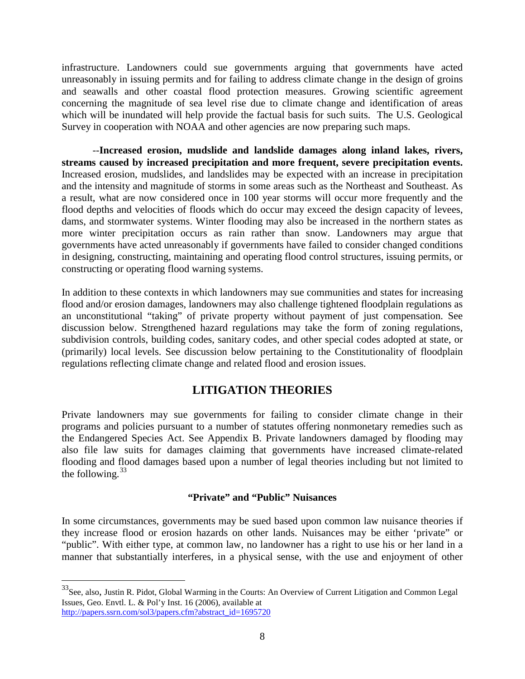infrastructure. Landowners could sue governments arguing that governments have acted unreasonably in issuing permits and for failing to address climate change in the design of groins and seawalls and other coastal flood protection measures. Growing scientific agreement concerning the magnitude of sea level rise due to climate change and identification of areas which will be inundated will help provide the factual basis for such suits. The U.S. Geological Survey in cooperation with NOAA and other agencies are now preparing such maps.

--**Increased erosion, mudslide and landslide damages along inland lakes, rivers, streams caused by increased precipitation and more frequent, severe precipitation events.** Increased erosion, mudslides, and landslides may be expected with an increase in precipitation and the intensity and magnitude of storms in some areas such as the Northeast and Southeast. As a result, what are now considered once in 100 year storms will occur more frequently and the flood depths and velocities of floods which do occur may exceed the design capacity of levees, dams, and stormwater systems. Winter flooding may also be increased in the northern states as more winter precipitation occurs as rain rather than snow. Landowners may argue that governments have acted unreasonably if governments have failed to consider changed conditions in designing, constructing, maintaining and operating flood control structures, issuing permits, or constructing or operating flood warning systems.

In addition to these contexts in which landowners may sue communities and states for increasing flood and/or erosion damages, landowners may also challenge tightened floodplain regulations as an unconstitutional "taking" of private property without payment of just compensation. See discussion below. Strengthened hazard regulations may take the form of zoning regulations, subdivision controls, building codes, sanitary codes, and other special codes adopted at state, or (primarily) local levels. See discussion below pertaining to the Constitutionality of floodplain regulations reflecting climate change and related flood and erosion issues.

# **LITIGATION THEORIES**

<span id="page-12-0"></span>Private landowners may sue governments for failing to consider climate change in their programs and policies pursuant to a number of statutes offering nonmonetary remedies such as the Endangered Species Act. See Appendix B. Private landowners damaged by flooding may also file law suits for damages claiming that governments have increased climate-related flooding and flood damages based upon a number of legal theories including but not limited to the following.  $33$ 

#### **"Private" and "Public" Nuisances**

<span id="page-12-1"></span>In some circumstances, governments may be sued based upon common law nuisance theories if they increase flood or erosion hazards on other lands. Nuisances may be either 'private" or "public". With either type, at common law, no landowner has a right to use his or her land in a manner that substantially interferes, in a physical sense, with the use and enjoyment of other

<span id="page-12-2"></span> <sup>33</sup>See, also, Justin R. Pidot, Global Warming in the Courts: An Overview of Current Litigation and Common Legal Issues, Geo. Envtl. L. & Pol'y Inst. 16 (2006), available at [http://papers.ssrn.com/sol3/papers.cfm?abstract\\_id=1695720](http://papers.ssrn.com/sol3/papers.cfm?abstract_id=1695720)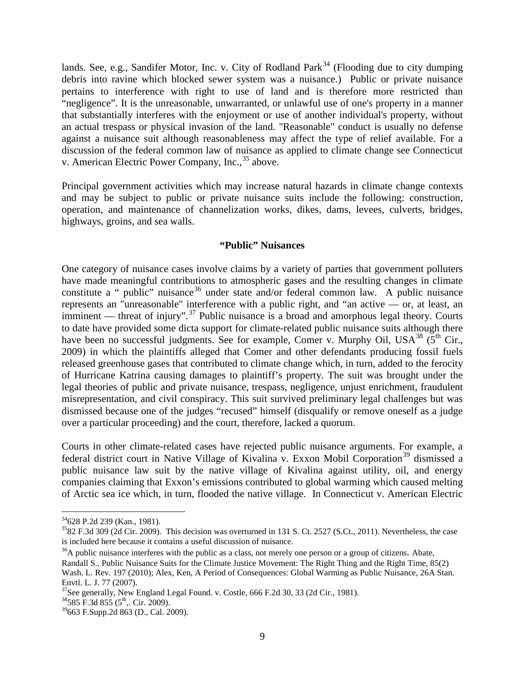lands. See, e.g., Sandifer Motor, Inc. v. City of Rodland Park<sup>[34](#page-13-1)</sup> (Flooding due to city dumping debris into ravine which blocked sewer system was a nuisance.) Public or private nuisance pertains to interference with right to use of land and is therefore more restricted than "negligence". It is the unreasonable, unwarranted, or unlawful use of one's property in a manner that substantially interferes with the enjoyment or use of another individual's property, without an actual trespass or physical invasion of the land. "Reasonable" conduct is usually no defense against a nuisance suit although reasonableness may affect the type of relief available. For a discussion of the federal common law of nuisance as applied to climate change see Connecticut v. American Electric Power Company, Inc., <sup>[35](#page-13-2)</sup> above.

Principal government activities which may increase natural hazards in climate change contexts and may be subject to public or private nuisance suits include the following: construction, operation, and maintenance of channelization works, dikes, dams, levees, culverts, bridges, highways, groins, and sea walls.

#### **"Public" Nuisances**

<span id="page-13-0"></span>One category of nuisance cases involve claims by a variety of parties that government polluters have made meaningful contributions to atmospheric gases and the resulting changes in climate constitute a " public" nuisance<sup>[36](#page-13-3)</sup> under state and/or federal common law. A public nuisance represents an "unreasonable" interference with a public right, and "an active — or, at least, an imminent — threat of injury".<sup>[37](#page-13-4)</sup> Public nuisance is a broad and amorphous legal theory. Courts to date have provided some dicta support for climate-related public nuisance suits although there have been no successful judgments. See for example, Comer v. Murphy Oil, USA<sup>[38](#page-13-5)</sup> ( $5<sup>th</sup>$  Cir., 2009) in which the plaintiffs alleged that Comer and other defendants producing fossil fuels released greenhouse gases that contributed to climate change which, in turn, added to the ferocity of Hurricane Katrina causing damages to plaintiff's property. The suit was brought under the legal theories of public and private nuisance, trespass, negligence, unjust enrichment, fraudulent misrepresentation, and civil conspiracy. This suit survived preliminary legal challenges but was dismissed because one of the judges "recused" himself (disqualify or remove oneself as a judge over a particular proceeding) and the court, therefore, lacked a quorum.

Courts in other climate-related cases have rejected public nuisance arguments. For example, a federal district court in Native Village of Kivalina v. Exxon Mobil Corporation<sup>[39](#page-13-6)</sup> dismissed a public nuisance law suit by the native village of Kivalina against utility, oil, and energy companies claiming that Exxon's emissions contributed to global warming which caused melting of Arctic sea ice which, in turn, flooded the native village. In Connecticut v. American Electric

<span id="page-13-2"></span><span id="page-13-1"></span> $34$  628 P.2d 239 (Kan., 1981).<br> $3582$  F.3d 309 (2d Cir. 2009). This decision was overturned in 131 S. Ct. 2527 (S.Ct., 2011). Nevertheless, the case is included here because it contains a useful discussion of nuisance.

<span id="page-13-3"></span> $36A$  public nuisance interferes with the public as a class, not merely one person or a group of citizens. Abate, Randall S., Public Nuisance Suits for the Climate Justice Movement: The Right Thing and the Right Time, 85(2) Wash. L. Rev. 197 (2010); Alex, Ken, A Period of Consequences: Global Warming as Public Nuisance, 26A Stan. Envtl. L. J. 77 (2007).<br><sup>37</sup>See generally, New England Legal Found. v. Costle, 666 F.2d 30, 33 (2d Cir., 1981).<br><sup>38</sup>585 F.3d 855 (5<sup>th</sup>,. Cir. 2009).

<span id="page-13-4"></span>

<span id="page-13-5"></span>

<span id="page-13-6"></span> $39$ 663 F.Supp.2d 863 (D., Cal. 2009).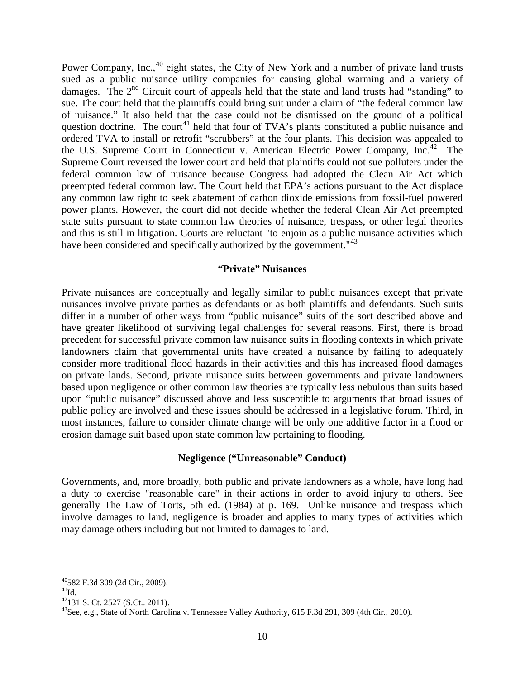Power Company, Inc.,<sup>[40](#page-14-2)</sup> eight states, the City of New York and a number of private land trusts sued as a public nuisance utility companies for causing global warming and a variety of damages. The 2<sup>nd</sup> Circuit court of appeals held that the state and land trusts had "standing" to sue. The court held that the plaintiffs could bring suit under a claim of "the federal common law of nuisance." It also held that the case could not be dismissed on the ground of a political question doctrine. The court<sup>[41](#page-14-3)</sup> held that four of TVA's plants constituted a public nuisance and ordered TVA to install or retrofit "scrubbers" at the four plants. This decision was appealed to the U.S. Supreme Court in Connecticut v. American Electric Power Company, Inc.<sup>[42](#page-14-4)</sup> The Supreme Court reversed the lower court and held that plaintiffs could not sue polluters under the federal common law of nuisance because Congress had adopted the Clean Air Act which preempted federal common law. The Court held that EPA's actions pursuant to the Act displace any common law right to seek abatement of carbon dioxide emissions from fossil-fuel powered power plants. However, the court did not decide whether the federal Clean Air Act preempted state suits pursuant to state common law theories of nuisance, trespass, or other legal theories and this is still in litigation. Courts are reluctant "to enjoin as a public nuisance activities which have been considered and specifically authorized by the government."<sup>[43](#page-14-5)</sup>

#### **"Private" Nuisances**

<span id="page-14-0"></span>Private nuisances are conceptually and legally similar to public nuisances except that private nuisances involve private parties as defendants or as both plaintiffs and defendants. Such suits differ in a number of other ways from "public nuisance" suits of the sort described above and have greater likelihood of surviving legal challenges for several reasons. First, there is broad precedent for successful private common law nuisance suits in flooding contexts in which private landowners claim that governmental units have created a nuisance by failing to adequately consider more traditional flood hazards in their activities and this has increased flood damages on private lands. Second, private nuisance suits between governments and private landowners based upon negligence or other common law theories are typically less nebulous than suits based upon "public nuisance" discussed above and less susceptible to arguments that broad issues of public policy are involved and these issues should be addressed in a legislative forum. Third, in most instances, failure to consider climate change will be only one additive factor in a flood or erosion damage suit based upon state common law pertaining to flooding.

#### **Negligence ("Unreasonable" Conduct)**

<span id="page-14-1"></span>Governments, and, more broadly, both public and private landowners as a whole, have long had a duty to exercise "reasonable care" in their actions in order to avoid injury to others. See generally The Law of Torts, 5th ed. (1984) at p. 169. Unlike nuisance and trespass which involve damages to land, negligence is broader and applies to many types of activities which may damage others including but not limited to damages to land.

<span id="page-14-2"></span> <sup>40582</sup> F.3d 309 (2d Cir., 2009).

<span id="page-14-3"></span><sup>&</sup>lt;sup>41</sup>Id.<br><sup>42</sup>131 S. Ct. 2527 (S.Ct., 2011).

<span id="page-14-5"></span><span id="page-14-4"></span><sup>&</sup>lt;sup>43</sup>See, e.g., State of North Carolina v. Tennessee Valley Authority, 615 F.3d 291, 309 (4th Cir., 2010).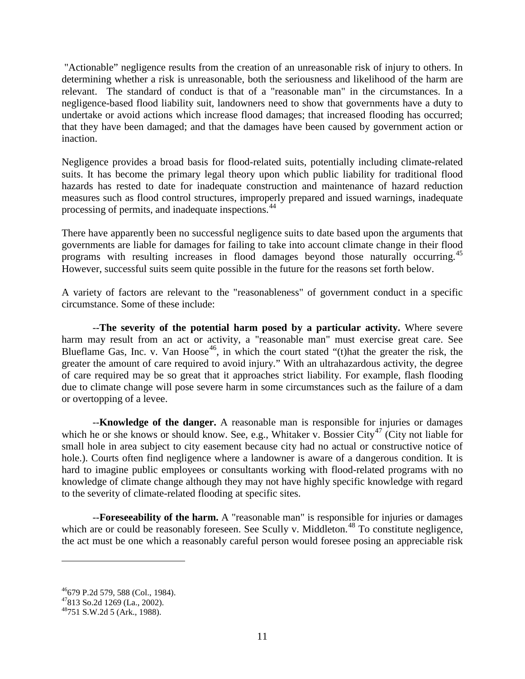"Actionable" negligence results from the creation of an unreasonable risk of injury to others. In determining whether a risk is unreasonable, both the seriousness and likelihood of the harm are relevant. The standard of conduct is that of a "reasonable man" in the circumstances. In a negligence-based flood liability suit, landowners need to show that governments have a duty to undertake or avoid actions which increase flood damages; that increased flooding has occurred; that they have been damaged; and that the damages have been caused by government action or inaction.

Negligence provides a broad basis for flood-related suits, potentially including climate-related suits. It has become the primary legal theory upon which public liability for traditional flood hazards has rested to date for inadequate construction and maintenance of hazard reduction measures such as flood control structures, improperly prepared and issued warnings, inadequate processing of permits, and inadequate inspections.[44](#page-15-0)

There have apparently been no successful negligence suits to date based upon the arguments that governments are liable for damages for failing to take into account climate change in their flood programs with resulting increases in flood damages beyond those naturally occurring.<sup>[45](#page-15-1)</sup> However, successful suits seem quite possible in the future for the reasons set forth below.

A variety of factors are relevant to the "reasonableness" of government conduct in a specific circumstance. Some of these include:

--**The severity of the potential harm posed by a particular activity.** Where severe harm may result from an act or activity, a "reasonable man" must exercise great care. See Blueflame Gas, Inc. v. Van Hoose<sup>46</sup>, in which the court stated "(t)hat the greater the risk, the greater the amount of care required to avoid injury." With an ultrahazardous activity, the degree of care required may be so great that it approaches strict liability. For example, flash flooding due to climate change will pose severe harm in some circumstances such as the failure of a dam or overtopping of a levee.

--**Knowledge of the danger.** A reasonable man is responsible for injuries or damages which he or she knows or should know. See, e.g., Whitaker v. Bossier City<sup>[47](#page-15-3)</sup> (City not liable for small hole in area subject to city easement because city had no actual or constructive notice of hole.). Courts often find negligence where a landowner is aware of a dangerous condition. It is hard to imagine public employees or consultants working with flood-related programs with no knowledge of climate change although they may not have highly specific knowledge with regard to the severity of climate-related flooding at specific sites.

--**Foreseeability of the harm.** A "reasonable man" is responsible for injuries or damages which are or could be reasonably foreseen. See Scully v. Middleton.<sup>[48](#page-15-4)</sup> To constitute negligence, the act must be one which a reasonably careful person would foresee posing an appreciable risk

<span id="page-15-0"></span> $\overline{a}$ 

<span id="page-15-3"></span><span id="page-15-2"></span><span id="page-15-1"></span><sup>&</sup>lt;sup>46</sup>679 P.2d 579, 588 (Col., 1984).<br><sup>47</sup>813 So.2d 1269 (La., 2002).<br><sup>48</sup>751 S.W.2d 5 (Ark., 1988).

<span id="page-15-4"></span>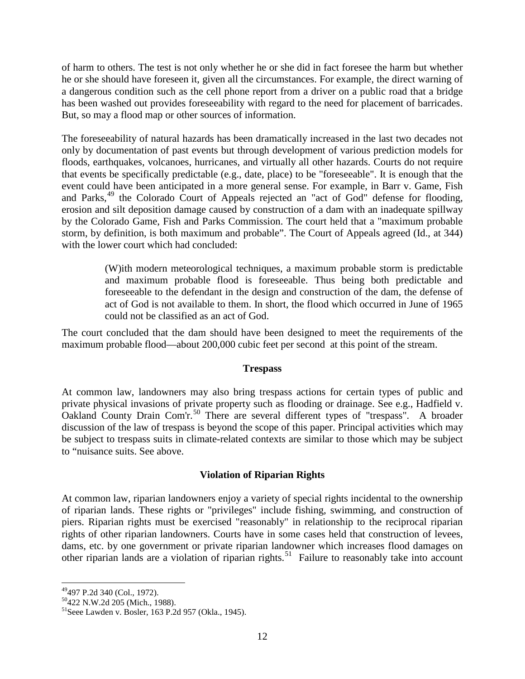of harm to others. The test is not only whether he or she did in fact foresee the harm but whether he or she should have foreseen it, given all the circumstances. For example, the direct warning of a dangerous condition such as the cell phone report from a driver on a public road that a bridge has been washed out provides foreseeability with regard to the need for placement of barricades. But, so may a flood map or other sources of information.

The foreseeability of natural hazards has been dramatically increased in the last two decades not only by documentation of past events but through development of various prediction models for floods, earthquakes, volcanoes, hurricanes, and virtually all other hazards. Courts do not require that events be specifically predictable (e.g., date, place) to be "foreseeable". It is enough that the event could have been anticipated in a more general sense. For example, in Barr v. Game, Fish and Parks,<sup>[49](#page-16-2)</sup> the Colorado Court of Appeals rejected an "act of God" defense for flooding, erosion and silt deposition damage caused by construction of a dam with an inadequate spillway by the Colorado Game, Fish and Parks Commission. The court held that a "maximum probable storm, by definition, is both maximum and probable". The Court of Appeals agreed (Id., at 344) with the lower court which had concluded:

> (W)ith modern meteorological techniques, a maximum probable storm is predictable and maximum probable flood is foreseeable. Thus being both predictable and foreseeable to the defendant in the design and construction of the dam, the defense of act of God is not available to them. In short, the flood which occurred in June of 1965 could not be classified as an act of God.

The court concluded that the dam should have been designed to meet the requirements of the maximum probable flood—about 200,000 cubic feet per second at this point of the stream.

#### **Trespass**

<span id="page-16-0"></span>At common law, landowners may also bring trespass actions for certain types of public and private physical invasions of private property such as flooding or drainage. See e.g., Hadfield v. Oakland County Drain Com'r.<sup>[50](#page-16-3)</sup> There are several different types of "trespass". A broader discussion of the law of trespass is beyond the scope of this paper. Principal activities which may be subject to trespass suits in climate-related contexts are similar to those which may be subject to "nuisance suits. See above.

#### **Violation of Riparian Rights**

<span id="page-16-1"></span>At common law, riparian landowners enjoy a variety of special rights incidental to the ownership of riparian lands. These rights or "privileges" include fishing, swimming, and construction of piers. Riparian rights must be exercised "reasonably" in relationship to the reciprocal riparian rights of other riparian landowners. Courts have in some cases held that construction of levees, dams, etc. by one government or private riparian landowner which increases flood damages on other riparian lands are a violation of riparian rights.<sup>[51](#page-16-4)</sup> Failure to reasonably take into account

<span id="page-16-4"></span><span id="page-16-3"></span>

<span id="page-16-2"></span><sup>&</sup>lt;sup>49</sup>497 P.2d 340 (Col., 1972).<br><sup>50</sup>422 N.W.2d 205 (Mich., 1988).<br><sup>51</sup>Seee Lawden v. Bosler, 163 P.2d 957 (Okla., 1945).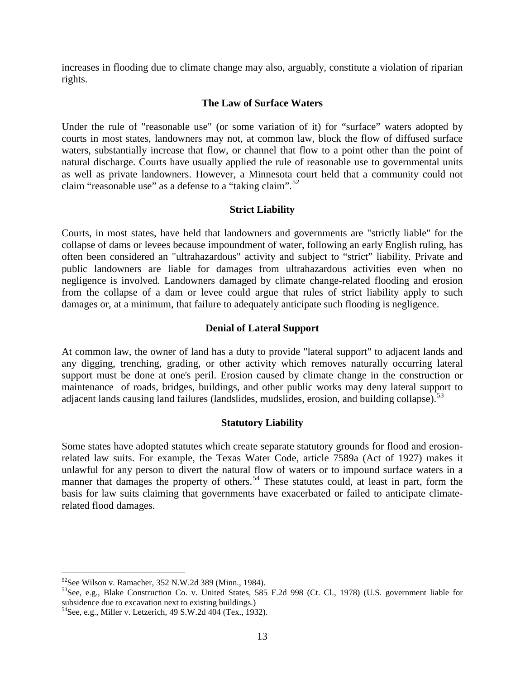increases in flooding due to climate change may also, arguably, constitute a violation of riparian rights.

#### **The Law of Surface Waters**

<span id="page-17-0"></span>Under the rule of "reasonable use" (or some variation of it) for "surface" waters adopted by courts in most states, landowners may not, at common law, block the flow of diffused surface waters, substantially increase that flow, or channel that flow to a point other than the point of natural discharge. Courts have usually applied the rule of reasonable use to governmental units as well as private landowners. However, a Minnesota court held that a community could not claim "reasonable use" as a defense to a "taking claim".<sup>[52](#page-17-4)</sup>

#### **Strict Liability**

<span id="page-17-1"></span>Courts, in most states, have held that landowners and governments are "strictly liable" for the collapse of dams or levees because impoundment of water, following an early English ruling, has often been considered an "ultrahazardous" activity and subject to "strict" liability. Private and public landowners are liable for damages from ultrahazardous activities even when no negligence is involved. Landowners damaged by climate change-related flooding and erosion from the collapse of a dam or levee could argue that rules of strict liability apply to such damages or, at a minimum, that failure to adequately anticipate such flooding is negligence.

#### **Denial of Lateral Support**

<span id="page-17-2"></span>At common law, the owner of land has a duty to provide "lateral support" to adjacent lands and any digging, trenching, grading, or other activity which removes naturally occurring lateral support must be done at one's peril. Erosion caused by climate change in the construction or maintenance of roads, bridges, buildings, and other public works may deny lateral support to adjacent lands causing land failures (landslides, mudslides, erosion, and building collapse).<sup>[53](#page-17-5)</sup>

#### **Statutory Liability**

<span id="page-17-3"></span>Some states have adopted statutes which create separate statutory grounds for flood and erosionrelated law suits. For example, the Texas Water Code, article 7589a (Act of 1927) makes it unlawful for any person to divert the natural flow of waters or to impound surface waters in a manner that damages the property of others.<sup>[54](#page-17-6)</sup> These statutes could, at least in part, form the basis for law suits claiming that governments have exacerbated or failed to anticipate climaterelated flood damages.

<span id="page-17-4"></span> <sup>52</sup>See Wilson v. Ramacher, 352 N.W.2d 389 (Minn., 1984).

<span id="page-17-5"></span> $53$ See, e.g., Blake Construction Co. v. United States, 585 F.2d 998 (Ct. Cl., 1978) (U.S. government liable for subsidence due to excavation next to existing buildings.)

<span id="page-17-6"></span> $54$ See, e.g., Miller v. Letzerich, 49 S.W.2d 404 (Tex., 1932).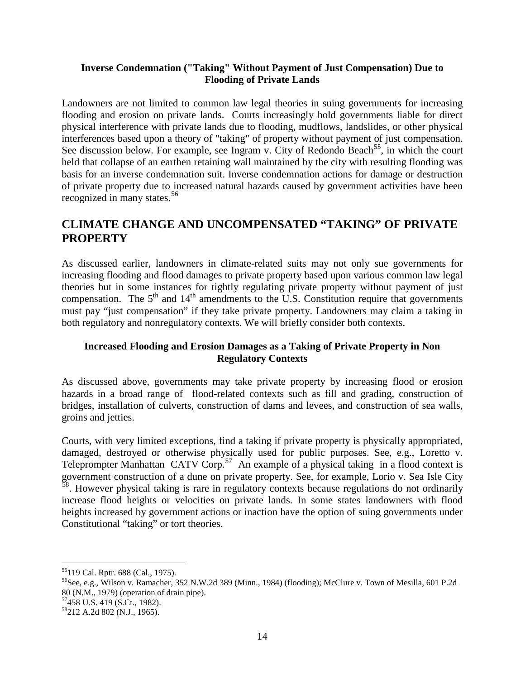#### <span id="page-18-0"></span>**Inverse Condemnation ("Taking" Without Payment of Just Compensation) Due to Flooding of Private Lands**

Landowners are not limited to common law legal theories in suing governments for increasing flooding and erosion on private lands. Courts increasingly hold governments liable for direct physical interference with private lands due to flooding, mudflows, landslides, or other physical interferences based upon a theory of "taking" of property without payment of just compensation. See discussion below. For example, see Ingram v. City of Redondo Beach<sup>[55](#page-18-3)</sup>, in which the court held that collapse of an earthen retaining wall maintained by the city with resulting flooding was basis for an inverse condemnation suit. Inverse condemnation actions for damage or destruction of private property due to increased natural hazards caused by government activities have been recognized in many states.<sup>[56](#page-18-4)</sup>

# <span id="page-18-1"></span>**CLIMATE CHANGE AND UNCOMPENSATED "TAKING" OF PRIVATE PROPERTY**

As discussed earlier, landowners in climate-related suits may not only sue governments for increasing flooding and flood damages to private property based upon various common law legal theories but in some instances for tightly regulating private property without payment of just compensation. The  $5<sup>th</sup>$  and  $14<sup>th</sup>$  amendments to the U.S. Constitution require that governments must pay "just compensation" if they take private property. Landowners may claim a taking in both regulatory and nonregulatory contexts. We will briefly consider both contexts.

#### <span id="page-18-2"></span>**Increased Flooding and Erosion Damages as a Taking of Private Property in Non Regulatory Contexts**

As discussed above, governments may take private property by increasing flood or erosion hazards in a broad range of flood-related contexts such as fill and grading, construction of bridges, installation of culverts, construction of dams and levees, and construction of sea walls, groins and jetties.

Courts, with very limited exceptions, find a taking if private property is physically appropriated, damaged, destroyed or otherwise physically used for public purposes. See, e.g., Loretto v. Teleprompter Manhattan CATV Corp.<sup>57</sup> An example of a physical taking in a flood context is government construction of a dune on private property. See, for example, Lorio v. Sea Isle City  $\frac{8}{3}$ . However physical taking is rare in regulatory contexts because regulations do not ordinarily increase flood heights or velocities on private lands. In some states landowners with flood heights increased by government actions or inaction have the option of suing governments under Constitutional "taking" or tort theories.

- <span id="page-18-4"></span>56See, e.g., Wilson v. Ramacher, 352 N.W.2d 389 (Minn., 1984) (flooding); McClure v. Town of Mesilla, 601 P.2d 80 (N.M., 1979) (operation of drain pipe). 57458 U.S. 419 (S.Ct., 1982).
- <span id="page-18-5"></span>

<span id="page-18-3"></span> <sup>55119</sup> Cal. Rptr. 688 (Cal., 1975).

<span id="page-18-6"></span><sup>58212</sup> A.2d 802 (N.J., 1965).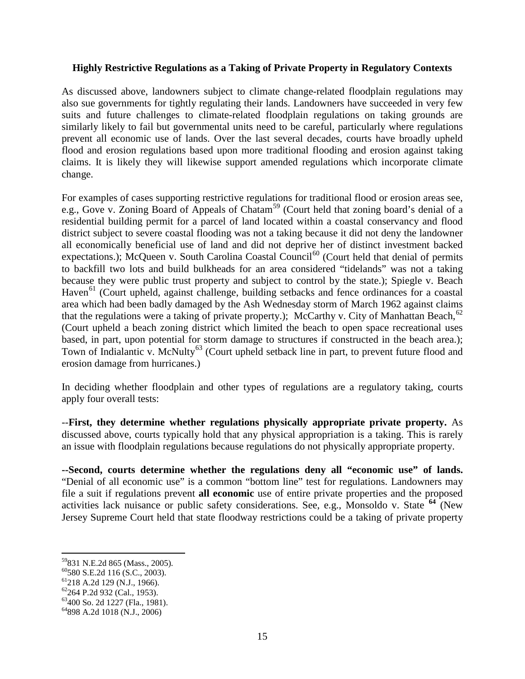#### <span id="page-19-0"></span>**Highly Restrictive Regulations as a Taking of Private Property in Regulatory Contexts**

As discussed above, landowners subject to climate change-related floodplain regulations may also sue governments for tightly regulating their lands. Landowners have succeeded in very few suits and future challenges to climate-related floodplain regulations on taking grounds are similarly likely to fail but governmental units need to be careful, particularly where regulations prevent all economic use of lands. Over the last several decades, courts have broadly upheld flood and erosion regulations based upon more traditional flooding and erosion against taking claims. It is likely they will likewise support amended regulations which incorporate climate change.

For examples of cases supporting restrictive regulations for traditional flood or erosion areas see, e.g., Gove v. Zoning Board of Appeals of Chatam<sup>[59](#page-19-1)</sup> (Court held that zoning board's denial of a residential building permit for a parcel of land located within a coastal conservancy and flood district subject to severe coastal flooding was not a taking because it did not deny the landowner all economically beneficial use of land and did not deprive her of distinct investment backed expectations.); McQueen v. South Carolina Coastal Council<sup>[60](#page-19-2)</sup> (Court held that denial of permits to backfill two lots and build bulkheads for an area considered "tidelands" was not a taking because they were public trust property and subject to control by the state.); Spiegle v. Beach Haven<sup>[61](#page-19-3)</sup> (Court upheld, against challenge, building setbacks and fence ordinances for a coastal area which had been badly damaged by the Ash Wednesday storm of March 1962 against claims that the regulations were a taking of private property.); McCarthy v. City of Manhattan Beach, <sup>[62](#page-19-4)</sup> (Court upheld a beach zoning district which limited the beach to open space recreational uses based, in part, upon potential for storm damage to structures if constructed in the beach area.); Town of Indialantic v. McNulty<sup>[63](#page-19-5)</sup> (Court upheld setback line in part, to prevent future flood and erosion damage from hurricanes.)

In deciding whether floodplain and other types of regulations are a regulatory taking, courts apply four overall tests:

--**First, they determine whether regulations physically appropriate private property.** As discussed above, courts typically hold that any physical appropriation is a taking. This is rarely an issue with floodplain regulations because regulations do not physically appropriate property.

**--Second, courts determine whether the regulations deny all "economic use" of lands.** "Denial of all economic use" is a common "bottom line" test for regulations. Landowners may file a suit if regulations prevent **all economic** use of entire private properties and the proposed activities lack nuisance or public safety considerations. See, e.g., Monsoldo v. State **[64](#page-19-6)** (New Jersey Supreme Court held that state floodway restrictions could be a taking of private property

<span id="page-19-1"></span><sup>&</sup>lt;sup>59</sup>831 N.E.2d 865 (Mass., 2005).<br><sup>60</sup>580 S.E.2d 116 (S.C., 2003).<br><sup>61</sup>218 A.2d 129 (N.J., 1966).<br><sup>62</sup>264 P.2d 932 (Cal., 1953).<br><sup>63</sup>400 So. 2d 1227 (Fla., 1981).<br><sup>64</sup>898 A.2d 1018 (N.J., 2006)

<span id="page-19-2"></span>

<span id="page-19-3"></span>

<span id="page-19-4"></span>

<span id="page-19-5"></span>

<span id="page-19-6"></span>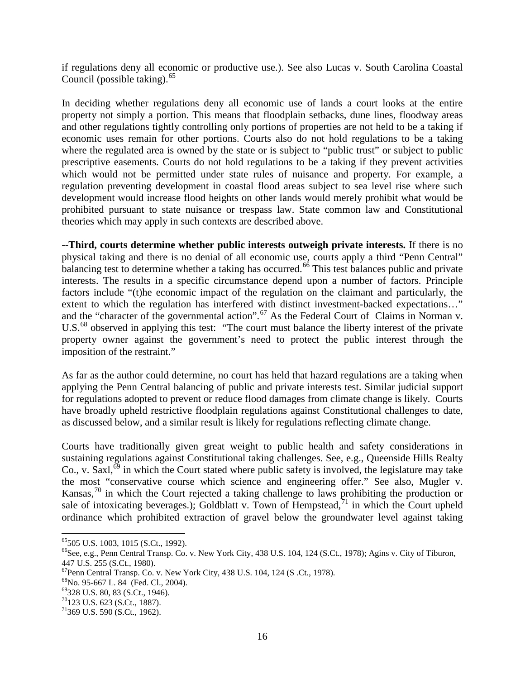if regulations deny all economic or productive use.). See also Lucas v. South Carolina Coastal Council (possible taking). $65$ 

In deciding whether regulations deny all economic use of lands a court looks at the entire property not simply a portion. This means that floodplain setbacks, dune lines, floodway areas and other regulations tightly controlling only portions of properties are not held to be a taking if economic uses remain for other portions. Courts also do not hold regulations to be a taking where the regulated area is owned by the state or is subject to "public trust" or subject to public prescriptive easements. Courts do not hold regulations to be a taking if they prevent activities which would not be permitted under state rules of nuisance and property. For example, a regulation preventing development in coastal flood areas subject to sea level rise where such development would increase flood heights on other lands would merely prohibit what would be prohibited pursuant to state nuisance or trespass law. State common law and Constitutional theories which may apply in such contexts are described above.

**--Third, courts determine whether public interests outweigh private interests.** If there is no physical taking and there is no denial of all economic use, courts apply a third "Penn Central" balancing test to determine whether a taking has occurred.<sup>[66](#page-20-1)</sup> This test balances public and private interests. The results in a specific circumstance depend upon a number of factors. Principle factors include "(t)he economic impact of the regulation on the claimant and particularly, the extent to which the regulation has interfered with distinct investment-backed expectations…" and the "character of the governmental action".<sup>[67](#page-20-2)</sup> As the Federal Court of Claims in Norman v. U.S.<sup>[68](#page-20-3)</sup> observed in applying this test: "The court must balance the liberty interest of the private property owner against the government's need to protect the public interest through the imposition of the restraint."

As far as the author could determine, no court has held that hazard regulations are a taking when applying the Penn Central balancing of public and private interests test. Similar judicial support for regulations adopted to prevent or reduce flood damages from climate change is likely. Courts have broadly upheld restrictive floodplain regulations against Constitutional challenges to date, as discussed below, and a similar result is likely for regulations reflecting climate change.

Courts have traditionally given great weight to public health and safety considerations in sustaining regulations against Constitutional taking challenges. See, e.g., Queenside Hills Realty Co., v. Saxl, $\delta^9$  in which the Court stated where public safety is involved, the legislature may take the most "conservative course which science and engineering offer." See also, Mugler v. Kansas,<sup>[70](#page-20-5)</sup> in which the Court rejected a taking challenge to laws prohibiting the production or sale of intoxicating beverages.); Goldblatt v. Town of Hempstead,  $\frac{71}{1}$  $\frac{71}{1}$  $\frac{71}{1}$  in which the Court upheld ordinance which prohibited extraction of gravel below the groundwater level against taking

<span id="page-20-1"></span><span id="page-20-0"></span> $^{65}$ 505 U.S. 1003, 1015 (S.Ct., 1992).<br> $^{66}$ See, e.g., Penn Central Transp. Co. v. New York City, 438 U.S. 104, 124 (S.Ct., 1978); Agins v. City of Tiburon, 447 U.S. 255 (S.Ct., 1980).

<span id="page-20-2"></span><sup>&</sup>lt;sup>67</sup>Penn Central Transp. Co. v. New York City, 438 U.S. 104, 124 (S .Ct., 1978).<br><sup>68</sup>No. 95-667 L. 84 (Fed. Cl., 2004).<br><sup>69</sup>328 U.S. 80, 83 (S.Ct., 1946).<br><sup>70</sup>123 U.S. 623 (S.Ct., 1887).

<span id="page-20-3"></span>

<span id="page-20-4"></span>

<span id="page-20-5"></span>

<span id="page-20-6"></span> $71$ 369 U.S. 590 (S.Ct., 1962).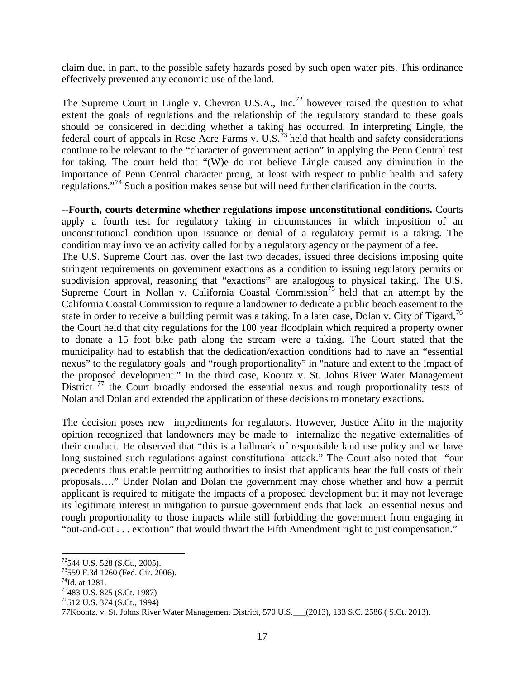claim due, in part, to the possible safety hazards posed by such open water pits. This ordinance effectively prevented any economic use of the land.

The Supreme Court in Lingle v. Chevron U.S.A., Inc.<sup>[72](#page-21-0)</sup> however raised the question to what extent the goals of regulations and the relationship of the regulatory standard to these goals should be considered in deciding whether a taking has occurred. In interpreting Lingle, the federal court of appeals in Rose Acre Farms v. U.S.<sup>[73](#page-21-1)</sup> held that health and safety considerations continue to be relevant to the "character of government action" in applying the Penn Central test for taking. The court held that "(W)e do not believe Lingle caused any diminution in the importance of Penn Central character prong, at least with respect to public health and safety regulations."[74](#page-21-2) Such a position makes sense but will need further clarification in the courts.

**--Fourth, courts determine whether regulations impose unconstitutional conditions.** Courts apply a fourth test for regulatory taking in circumstances in which imposition of an unconstitutional condition upon issuance or denial of a regulatory permit is a taking. The condition may involve an activity called for by a regulatory agency or the payment of a fee. The U.S. Supreme Court has, over the last two decades, issued three decisions imposing quite stringent requirements on government exactions as a condition to issuing regulatory permits or subdivision approval, reasoning that "exactions" are analogous to physical taking. The U.S. Supreme Court in Nollan v. California Coastal Commission<sup>[75](#page-21-3)</sup> held that an attempt by the California Coastal Commission to require a landowner to dedicate a public beach easement to the state in order to receive a building permit was a taking. In a later case, Dolan v. City of Tigard,  $^{76}$  $^{76}$  $^{76}$ the Court held that city regulations for the 100 year floodplain which required a property owner to donate a 15 foot bike path along the stream were a taking. The Court stated that the municipality had to establish that the dedication/exaction conditions had to have an "essential nexus" to the regulatory goals and "rough proportionality" in "nature and extent to the impact of the proposed development." In the third case, Koontz v. St. Johns River Water Management District  $17$  the Court broadly endorsed the essential nexus and rough proportionality tests of Nolan and Dolan and extended the application of these decisions to monetary exactions.

The decision poses new impediments for regulators. However, Justice Alito in the majority opinion recognized that landowners may be made to internalize the negative externalities of their conduct. He observed that "this is a hallmark of responsible land use policy and we have long sustained such regulations against constitutional attack." The Court also noted that "our precedents thus enable permitting authorities to insist that applicants bear the full costs of their proposals…." Under Nolan and Dolan the government may chose whether and how a permit applicant is required to mitigate the impacts of a proposed development but it may not leverage its legitimate interest in mitigation to pursue government ends that lack an essential nexus and rough proportionality to those impacts while still forbidding the government from engaging in "out-and-out . . . extortion" that would thwart the Fifth Amendment right to just compensation."

<span id="page-21-1"></span><span id="page-21-0"></span><sup>&</sup>lt;sup>72</sup>544 U.S. 528 (S.Ct., 2005).<br><sup>73</sup>559 F.3d 1260 (Fed. Cir. 2006).<br><sup>74</sup>Id. at 1281.<br><sup>75</sup>483 U.S. 825 (S.Ct. 1987)

<span id="page-21-2"></span>

<span id="page-21-3"></span>

<span id="page-21-4"></span><sup>76512</sup> U.S. 374 (S.Ct., 1994)

<span id="page-21-5"></span><sup>77</sup>Koontz. v. St. Johns River Water Management District, 570 U.S.\_\_\_(2013), 133 S.C. 2586 ( S.Ct. 2013).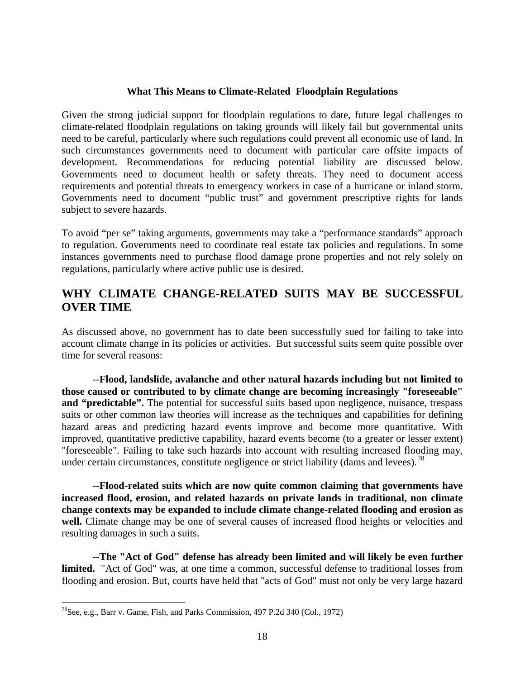#### **What This Means to Climate-Related Floodplain Regulations**

<span id="page-22-0"></span>Given the strong judicial support for floodplain regulations to date, future legal challenges to climate-related floodplain regulations on taking grounds will likely fail but governmental units need to be careful, particularly where such regulations could prevent all economic use of land. In such circumstances governments need to document with particular care offsite impacts of development. Recommendations for reducing potential liability are discussed below. Governments need to document health or safety threats. They need to document access requirements and potential threats to emergency workers in case of a hurricane or inland storm. Governments need to document "public trust" and government prescriptive rights for lands subject to severe hazards.

To avoid "per se" taking arguments, governments may take a "performance standards" approach to regulation. Governments need to coordinate real estate tax policies and regulations. In some instances governments need to purchase flood damage prone properties and not rely solely on regulations, particularly where active public use is desired.

# <span id="page-22-1"></span>**WHY CLIMATE CHANGE-RELATED SUITS MAY BE SUCCESSFUL OVER TIME**

As discussed above, no government has to date been successfully sued for failing to take into account climate change in its policies or activities. But successful suits seem quite possible over time for several reasons:

--**Flood, landslide, avalanche and other natural hazards including but not limited to those caused or contributed to by climate change are becoming increasingly "foreseeable"**  and "predictable". The potential for successful suits based upon negligence, nuisance, trespass suits or other common law theories will increase as the techniques and capabilities for defining hazard areas and predicting hazard events improve and become more quantitative. With improved, quantitative predictive capability, hazard events become (to a greater or lesser extent) "foreseeable". Failing to take such hazards into account with resulting increased flooding may, under certain circumstances, constitute negligence or strict liability (dams and levees).<sup>[78](#page-22-2)</sup>

--**Flood-related suits which are now quite common claiming that governments have increased flood, erosion, and related hazards on private lands in traditional, non climate change contexts may be expanded to include climate change-related flooding and erosion as**  well. Climate change may be one of several causes of increased flood heights or velocities and resulting damages in such a suits.

--**The "Act of God" defense has already been limited and will likely be even further limited.** "Act of God" was, at one time a common, successful defense to traditional losses from flooding and erosion. But, courts have held that "acts of God" must not only be very large hazard

<span id="page-22-2"></span><sup>&</sup>lt;sup>78</sup>See, e.g., Barr v. Game, Fish, and Parks Commission, 497 P.2d 340 (Col., 1972)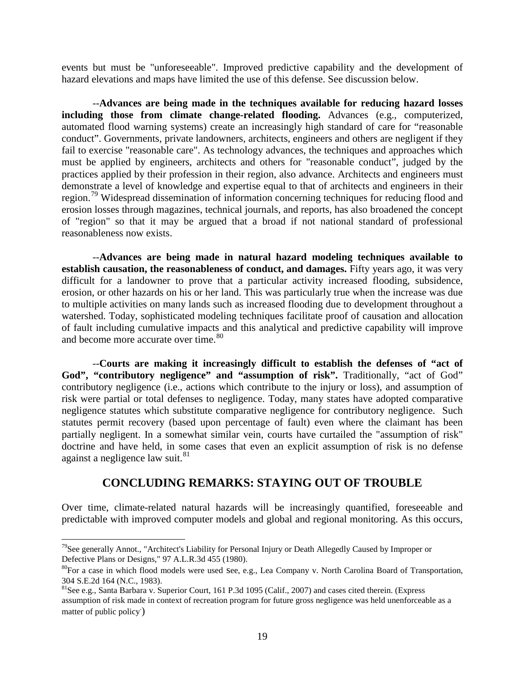events but must be "unforeseeable". Improved predictive capability and the development of hazard elevations and maps have limited the use of this defense. See discussion below.

--**Advances are being made in the techniques available for reducing hazard losses including those from climate change-related flooding.** Advances (e.g., computerized, automated flood warning systems) create an increasingly high standard of care for "reasonable conduct". Governments, private landowners, architects, engineers and others are negligent if they fail to exercise "reasonable care". As technology advances, the techniques and approaches which must be applied by engineers, architects and others for "reasonable conduct", judged by the practices applied by their profession in their region, also advance. Architects and engineers must demonstrate a level of knowledge and expertise equal to that of architects and engineers in their region.[79](#page-23-1) Widespread dissemination of information concerning techniques for reducing flood and erosion losses through magazines, technical journals, and reports, has also broadened the concept of "region" so that it may be argued that a broad if not national standard of professional reasonableness now exists.

--**Advances are being made in natural hazard modeling techniques available to establish causation, the reasonableness of conduct, and damages.** Fifty years ago, it was very difficult for a landowner to prove that a particular activity increased flooding, subsidence, erosion, or other hazards on his or her land. This was particularly true when the increase was due to multiple activities on many lands such as increased flooding due to development throughout a watershed. Today, sophisticated modeling techniques facilitate proof of causation and allocation of fault including cumulative impacts and this analytical and predictive capability will improve and become more accurate over time.<sup>[80](#page-23-2)</sup>

--**Courts are making it increasingly difficult to establish the defenses of "act of God", "contributory negligence" and "assumption of risk".** Traditionally, "act of God" contributory negligence (i.e., actions which contribute to the injury or loss), and assumption of risk were partial or total defenses to negligence. Today, many states have adopted comparative negligence statutes which substitute comparative negligence for contributory negligence. Such statutes permit recovery (based upon percentage of fault) even where the claimant has been partially negligent. In a somewhat similar vein, courts have curtailed the "assumption of risk" doctrine and have held, in some cases that even an explicit assumption of risk is no defense against a negligence law suit. $81$ 

### **CONCLUDING REMARKS: STAYING OUT OF TROUBLE**

<span id="page-23-0"></span>Over time, climate-related natural hazards will be increasingly quantified, foreseeable and predictable with improved computer models and global and regional monitoring. As this occurs,

<span id="page-23-1"></span> $79$ See generally Annot., "Architect's Liability for Personal Injury or Death Allegedly Caused by Improper or Defective Plans or Designs," 97 A.L.R.3d 455 (1980).

<span id="page-23-2"></span><sup>&</sup>lt;sup>80</sup>For a case in which flood models were used See, e.g., Lea Company v. North Carolina Board of Transportation, 304 S.E.2d 164 (N.C., 1983).

<span id="page-23-3"></span><sup>81</sup>See e.g., Santa Barbara v. Superior Court, 161 P.3d 1095 (Calif., 2007) and cases cited therein. (Express assumption of risk made in context of recreation program for future gross negligence was held unenforceable as a matter of public policy. )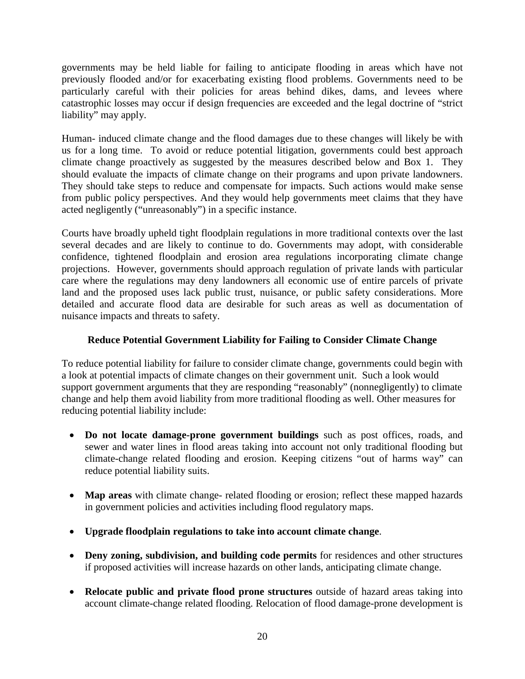governments may be held liable for failing to anticipate flooding in areas which have not previously flooded and/or for exacerbating existing flood problems. Governments need to be particularly careful with their policies for areas behind dikes, dams, and levees where catastrophic losses may occur if design frequencies are exceeded and the legal doctrine of "strict liability" may apply.

Human- induced climate change and the flood damages due to these changes will likely be with us for a long time. To avoid or reduce potential litigation, governments could best approach climate change proactively as suggested by the measures described below and Box 1. They should evaluate the impacts of climate change on their programs and upon private landowners. They should take steps to reduce and compensate for impacts. Such actions would make sense from public policy perspectives. And they would help governments meet claims that they have acted negligently ("unreasonably") in a specific instance.

Courts have broadly upheld tight floodplain regulations in more traditional contexts over the last several decades and are likely to continue to do. Governments may adopt, with considerable confidence, tightened floodplain and erosion area regulations incorporating climate change projections. However, governments should approach regulation of private lands with particular care where the regulations may deny landowners all economic use of entire parcels of private land and the proposed uses lack public trust, nuisance, or public safety considerations. More detailed and accurate flood data are desirable for such areas as well as documentation of nuisance impacts and threats to safety.

#### **Reduce Potential Government Liability for Failing to Consider Climate Change**

<span id="page-24-0"></span>To reduce potential liability for failure to consider climate change, governments could begin with a look at potential impacts of climate changes on their government unit. Such a look would support government arguments that they are responding "reasonably" (nonnegligently) to climate change and help them avoid liability from more traditional flooding as well. Other measures for reducing potential liability include:

- **Do not locate damage-prone government buildings** such as post offices, roads, and sewer and water lines in flood areas taking into account not only traditional flooding but climate-change related flooding and erosion. Keeping citizens "out of harms way" can reduce potential liability suits.
- **Map areas** with climate change- related flooding or erosion; reflect these mapped hazards in government policies and activities including flood regulatory maps.
- **Upgrade floodplain regulations to take into account climate change**.
- **Deny zoning, subdivision, and building code permits** for residences and other structures if proposed activities will increase hazards on other lands, anticipating climate change.
- **Relocate public and private flood prone structures** outside of hazard areas taking into account climate-change related flooding. Relocation of flood damage-prone development is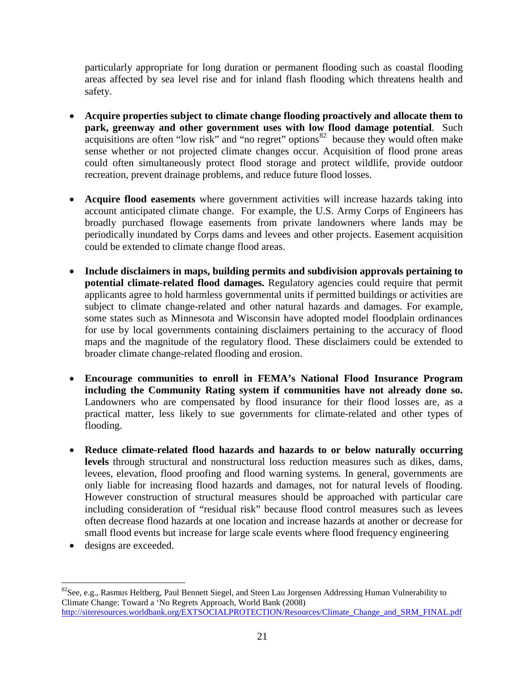particularly appropriate for long duration or permanent flooding such as coastal flooding areas affected by sea level rise and for inland flash flooding which threatens health and safety.

- **Acquire properties subject to climate change flooding proactively and allocate them to park, greenway and other government uses with low flood damage potential**. Such acquisitions are often "low risk" and "no regret" options  $82$  because they would often make sense whether or not projected climate changes occur. Acquisition of flood prone areas could often simultaneously protect flood storage and protect wildlife, provide outdoor recreation, prevent drainage problems, and reduce future flood losses.
- **Acquire flood easements** where government activities will increase hazards taking into account anticipated climate change. For example, the U.S. Army Corps of Engineers has broadly purchased flowage easements from private landowners where lands may be periodically inundated by Corps dams and levees and other projects. Easement acquisition could be extended to climate change flood areas.
- **Include disclaimers in maps, building permits and subdivision approvals pertaining to potential climate-related flood damages.** Regulatory agencies could require that permit applicants agree to hold harmless governmental units if permitted buildings or activities are subject to climate change-related and other natural hazards and damages. For example, some states such as Minnesota and Wisconsin have adopted model floodplain ordinances for use by local governments containing disclaimers pertaining to the accuracy of flood maps and the magnitude of the regulatory flood. These disclaimers could be extended to broader climate change-related flooding and erosion.
- **Encourage communities to enroll in FEMA's National Flood Insurance Program including the Community Rating system if communities have not already done so.** Landowners who are compensated by flood insurance for their flood losses are, as a practical matter, less likely to sue governments for climate-related and other types of flooding.
- **Reduce climate-related flood hazards and hazards to or below naturally occurring levels** through structural and nonstructural loss reduction measures such as dikes, dams, levees, elevation, flood proofing and flood warning systems. In general, governments are only liable for increasing flood hazards and damages, not for natural levels of flooding. However construction of structural measures should be approached with particular care including consideration of "residual risk" because flood control measures such as levees often decrease flood hazards at one location and increase hazards at another or decrease for small flood events but increase for large scale events where flood frequency engineering
- designs are exceeded.

<span id="page-25-0"></span><sup>&</sup>lt;sup>82</sup>See, e.g., Rasmus Heltberg, Paul Bennett Siegel, and Steen Lau Jorgensen Addressing Human Vulnerability to Climate Change: Toward a 'No Regrets Approach, World Bank (2008) [http://siteresources.worldbank.org/EXTSOCIALPROTECTION/Resources/Climate\\_Change\\_and\\_SRM\\_FINAL.pdf](http://siteresources.worldbank.org/EXTSOCIALPROTECTION/Resources/Climate_Change_and_SRM_FINAL.pdf)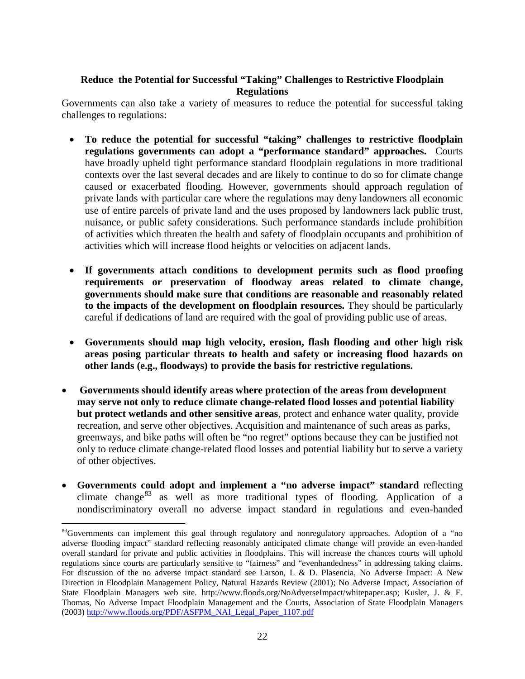#### <span id="page-26-0"></span>**Reduce the Potential for Successful "Taking" Challenges to Restrictive Floodplain Regulations**

Governments can also take a variety of measures to reduce the potential for successful taking challenges to regulations:

- **To reduce the potential for successful "taking" challenges to restrictive floodplain regulations governments can adopt a "performance standard" approaches.** Courts have broadly upheld tight performance standard floodplain regulations in more traditional contexts over the last several decades and are likely to continue to do so for climate change caused or exacerbated flooding. However, governments should approach regulation of private lands with particular care where the regulations may deny landowners all economic use of entire parcels of private land and the uses proposed by landowners lack public trust, nuisance, or public safety considerations. Such performance standards include prohibition of activities which threaten the health and safety of floodplain occupants and prohibition of activities which will increase flood heights or velocities on adjacent lands.
- **If governments attach conditions to development permits such as flood proofing requirements or preservation of floodway areas related to climate change, governments should make sure that conditions are reasonable and reasonably related to the impacts of the development on floodplain resources.** They should be particularly careful if dedications of land are required with the goal of providing public use of areas.
- **Governments should map high velocity, erosion, flash flooding and other high risk areas posing particular threats to health and safety or increasing flood hazards on other lands (e.g., floodways) to provide the basis for restrictive regulations.**
- **Governments should identify areas where protection of the areas from development may serve not only to reduce climate change-related flood losses and potential liability but protect wetlands and other sensitive areas**, protect and enhance water quality, provide recreation, and serve other objectives. Acquisition and maintenance of such areas as parks, greenways, and bike paths will often be "no regret" options because they can be justified not only to reduce climate change-related flood losses and potential liability but to serve a variety of other objectives.
- **Governments could adopt and implement a "no adverse impact" standard** reflecting climate change<sup>[83](#page-26-1)</sup> as well as more traditional types of flooding. Application of a nondiscriminatory overall no adverse impact standard in regulations and even-handed

<span id="page-26-1"></span><sup>&</sup>lt;sup>83</sup>Governments can implement this goal through regulatory and nonregulatory approaches. Adoption of a "no adverse flooding impact" standard reflecting reasonably anticipated climate change will provide an even-handed overall standard for private and public activities in floodplains. This will increase the chances courts will uphold regulations since courts are particularly sensitive to "fairness" and "evenhandedness" in addressing taking claims. For discussion of the no adverse impact standard see Larson, L & D. Plasencia, No Adverse Impact: A New Direction in Floodplain Management Policy, Natural Hazards Review (2001); No Adverse Impact, Association of State Floodplain Managers web site. http://www.floods.org/NoAdverseImpact/whitepaper.asp; Kusler, J. & E. Thomas, No Adverse Impact Floodplain Management and the Courts, Association of State Floodplain Managers (2003) [http://www.floods.org/PDF/ASFPM\\_NAI\\_Legal\\_Paper\\_1107.pdf](http://www.floods.org/PDF/ASFPM_NAI_Legal_Paper_1107.pdf)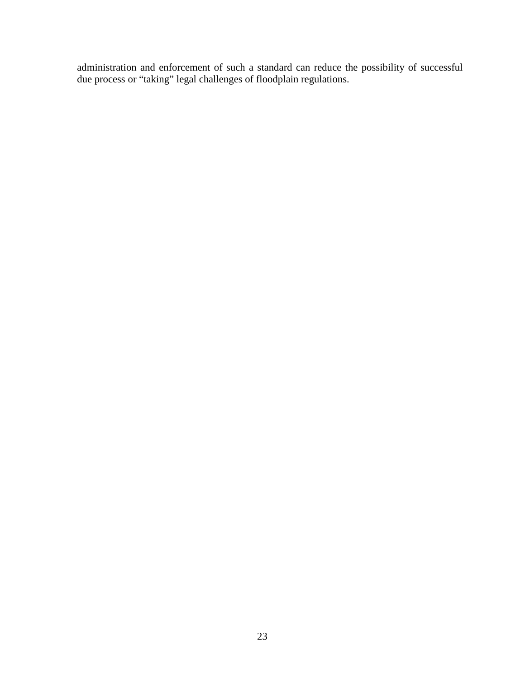administration and enforcement of such a standard can reduce the possibility of successful due process or "taking" legal challenges of floodplain regulations.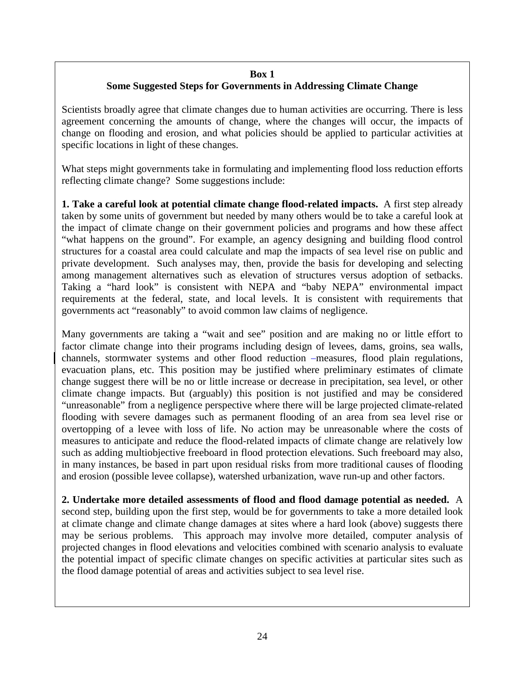#### **Box 1 Some Suggested Steps for Governments in Addressing Climate Change**

Scientists broadly agree that climate changes due to human activities are occurring. There is less agreement concerning the amounts of change, where the changes will occur, the impacts of change on flooding and erosion, and what policies should be applied to particular activities at specific locations in light of these changes.

What steps might governments take in formulating and implementing flood loss reduction efforts reflecting climate change? Some suggestions include:

**1. Take a careful look at potential climate change flood-related impacts.** A first step already taken by some units of government but needed by many others would be to take a careful look at the impact of climate change on their government policies and programs and how these affect "what happens on the ground". For example, an agency designing and building flood control structures for a coastal area could calculate and map the impacts of sea level rise on public and private development. Such analyses may, then, provide the basis for developing and selecting among management alternatives such as elevation of structures versus adoption of setbacks. Taking a "hard look" is consistent with NEPA and "baby NEPA" environmental impact requirements at the federal, state, and local levels. It is consistent with requirements that governments act "reasonably" to avoid common law claims of negligence.

Many governments are taking a "wait and see" position and are making no or little effort to factor climate change into their programs including design of levees, dams, groins, sea walls, channels, stormwater systems and other flood reduction -measures, flood plain regulations, evacuation plans, etc. This position may be justified where preliminary estimates of climate change suggest there will be no or little increase or decrease in precipitation, sea level, or other climate change impacts. But (arguably) this position is not justified and may be considered "unreasonable" from a negligence perspective where there will be large projected climate-related flooding with severe damages such as permanent flooding of an area from sea level rise or overtopping of a levee with loss of life. No action may be unreasonable where the costs of measures to anticipate and reduce the flood-related impacts of climate change are relatively low such as adding multiobjective freeboard in flood protection elevations. Such freeboard may also, in many instances, be based in part upon residual risks from more traditional causes of flooding and erosion (possible levee collapse), watershed urbanization, wave run-up and other factors.

**2. Undertake more detailed assessments of flood and flood damage potential as needed.** A second step, building upon the first step, would be for governments to take a more detailed look at climate change and climate change damages at sites where a hard look (above) suggests there may be serious problems. This approach may involve more detailed, computer analysis of projected changes in flood elevations and velocities combined with scenario analysis to evaluate the potential impact of specific climate changes on specific activities at particular sites such as the flood damage potential of areas and activities subject to sea level rise.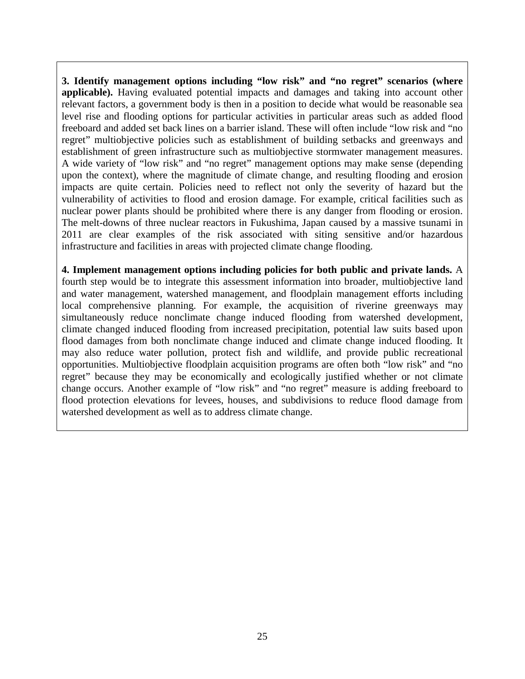**3. Identify management options including "low risk" and "no regret" scenarios (where applicable).** Having evaluated potential impacts and damages and taking into account other relevant factors, a government body is then in a position to decide what would be reasonable sea level rise and flooding options for particular activities in particular areas such as added flood freeboard and added set back lines on a barrier island. These will often include "low risk and "no regret" multiobjective policies such as establishment of building setbacks and greenways and establishment of green infrastructure such as multiobjective stormwater management measures. A wide variety of "low risk" and "no regret" management options may make sense (depending upon the context), where the magnitude of climate change, and resulting flooding and erosion impacts are quite certain. Policies need to reflect not only the severity of hazard but the vulnerability of activities to flood and erosion damage. For example, critical facilities such as nuclear power plants should be prohibited where there is any danger from flooding or erosion. The melt-downs of three nuclear reactors in Fukushima, Japan caused by a massive tsunami in 2011 are clear examples of the risk associated with siting sensitive and/or hazardous infrastructure and facilities in areas with projected climate change flooding.

**4. Implement management options including policies for both public and private lands.** A fourth step would be to integrate this assessment information into broader, multiobjective land and water management, watershed management, and floodplain management efforts including local comprehensive planning. For example, the acquisition of riverine greenways may simultaneously reduce nonclimate change induced flooding from watershed development, climate changed induced flooding from increased precipitation, potential law suits based upon flood damages from both nonclimate change induced and climate change induced flooding. It may also reduce water pollution, protect fish and wildlife, and provide public recreational opportunities. Multiobjective floodplain acquisition programs are often both "low risk" and "no regret" because they may be economically and ecologically justified whether or not climate change occurs. Another example of "low risk" and "no regret" measure is adding freeboard to flood protection elevations for levees, houses, and subdivisions to reduce flood damage from watershed development as well as to address climate change.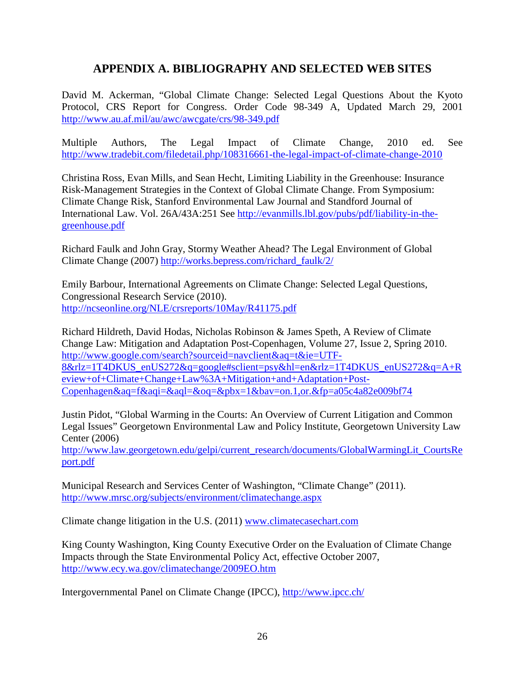# **APPENDIX A. BIBLIOGRAPHY AND SELECTED WEB SITES**

<span id="page-30-0"></span>David M. Ackerman, "Global Climate Change: Selected Legal Questions About the Kyoto Protocol, CRS Report for Congress. Order Code 98-349 A, Updated March 29, 2001 <http://www.au.af.mil/au/awc/awcgate/crs/98-349.pdf>

Multiple Authors, The Legal Impact of Climate Change, 2010 ed. See <http://www.tradebit.com/filedetail.php/108316661-the-legal-impact-of-climate-change-2010>

Christina Ross, Evan Mills, and Sean Hecht, Limiting Liability in the Greenhouse: Insurance Risk-Management Strategies in the Context of Global Climate Change. From Symposium: Climate Change Risk, Stanford Environmental Law Journal and Standford Journal of International Law. Vol. 26A/43A:251 See [http://evanmills.lbl.gov/pubs/pdf/liability-in-the](http://evanmills.lbl.gov/pubs/pdf/liability-in-the-greenhouse.pdf)[greenhouse.pdf](http://evanmills.lbl.gov/pubs/pdf/liability-in-the-greenhouse.pdf)

Richard Faulk and John Gray, Stormy Weather Ahead? The Legal Environment of Global Climate Change (2007) [http://works.bepress.com/richard\\_faulk/2/](http://works.bepress.com/richard_faulk/2/)

Emily Barbour, International Agreements on Climate Change: Selected Legal Questions, Congressional Research Service (2010). <http://ncseonline.org/NLE/crsreports/10May/R41175.pdf>

Richard Hildreth, David Hodas, Nicholas Robinson & James Speth, A Review of Climate Change Law: Mitigation and Adaptation Post-Copenhagen, Volume 27, Issue 2, Spring 2010. [http://www.google.com/search?sourceid=navclient&aq=t&ie=UTF-](http://www.google.com/search?sourceid=navclient&aq=t&ie=UTF-8&rlz=1T4DKUS_enUS272&q=google#sclient=psy&hl=en&rlz=1T4DKUS_enUS272&q=A+Review+of+Climate+Change+Law%3A+Mitigation+and+Adaptation+Post-Copenhagen&aq=f&aqi=&aql=&oq=&pbx=1&bav=on.1,or.&fp=a05c4a82e009bf74)[8&rlz=1T4DKUS\\_enUS272&q=google#sclient=psy&hl=en&rlz=1T4DKUS\\_enUS272&q=A+R](http://www.google.com/search?sourceid=navclient&aq=t&ie=UTF-8&rlz=1T4DKUS_enUS272&q=google#sclient=psy&hl=en&rlz=1T4DKUS_enUS272&q=A+Review+of+Climate+Change+Law%3A+Mitigation+and+Adaptation+Post-Copenhagen&aq=f&aqi=&aql=&oq=&pbx=1&bav=on.1,or.&fp=a05c4a82e009bf74) [eview+of+Climate+Change+Law%3A+Mitigation+and+Adaptation+Post-](http://www.google.com/search?sourceid=navclient&aq=t&ie=UTF-8&rlz=1T4DKUS_enUS272&q=google#sclient=psy&hl=en&rlz=1T4DKUS_enUS272&q=A+Review+of+Climate+Change+Law%3A+Mitigation+and+Adaptation+Post-Copenhagen&aq=f&aqi=&aql=&oq=&pbx=1&bav=on.1,or.&fp=a05c4a82e009bf74)[Copenhagen&aq=f&aqi=&aql=&oq=&pbx=1&bav=on.1,or.&fp=a05c4a82e009bf74](http://www.google.com/search?sourceid=navclient&aq=t&ie=UTF-8&rlz=1T4DKUS_enUS272&q=google#sclient=psy&hl=en&rlz=1T4DKUS_enUS272&q=A+Review+of+Climate+Change+Law%3A+Mitigation+and+Adaptation+Post-Copenhagen&aq=f&aqi=&aql=&oq=&pbx=1&bav=on.1,or.&fp=a05c4a82e009bf74)

Justin Pidot, "Global Warming in the Courts: An Overview of Current Litigation and Common Legal Issues" Georgetown Environmental Law and Policy Institute, Georgetown University Law Center (2006)

[http://www.law.georgetown.edu/gelpi/current\\_research/documents/GlobalWarmingLit\\_CourtsRe](http://www.law.georgetown.edu/gelpi/current_research/documents/GlobalWarmingLit_CourtsReport.pdf) [port.pdf](http://www.law.georgetown.edu/gelpi/current_research/documents/GlobalWarmingLit_CourtsReport.pdf)

Municipal Research and Services Center of Washington, "Climate Change" (2011). <http://www.mrsc.org/subjects/environment/climatechange.aspx>

Climate change litigation in the U.S. (2011) [www.climatecasechart.com](http://www.climatecasechart.com/)

King County Washington, King County Executive Order on the Evaluation of Climate Change Impacts through the State Environmental Policy Act, effective October 2007, <http://www.ecy.wa.gov/climatechange/2009EO.htm>

Intergovernmental Panel on Climate Change (IPCC),<http://www.ipcc.ch/>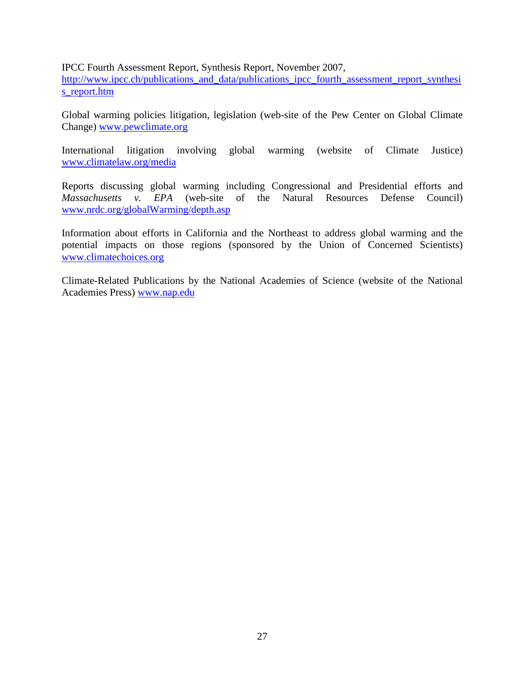#### IPCC Fourth Assessment Report, Synthesis Report, November 2007,

[http://www.ipcc.ch/publications\\_and\\_data/publications\\_ipcc\\_fourth\\_assessment\\_report\\_synthesi](http://www.ipcc.ch/publications_and_data/publications_ipcc_fourth_assessment_report_synthesis_report.htm) [s\\_report.htm](http://www.ipcc.ch/publications_and_data/publications_ipcc_fourth_assessment_report_synthesis_report.htm)

Global warming policies litigation, legislation (web-site of the Pew Center on Global Climate Change) [www.pewclimate.org](http://www.pewclimate.org/)

International litigation involving global warming (website of Climate Justice) [www.climatelaw.org/media](http://www.climatelaw.org/media)

Reports discussing global warming including Congressional and Presidential efforts and *Massachusetts v. EPA* (web-site of the Natural Resources Defense Council) [www.nrdc.org/globalWarming/depth.asp](http://www.nrdc.org/globalWarming/depth.asp)

Information about efforts in California and the Northeast to address global warming and the potential impacts on those regions (sponsored by the Union of Concerned Scientists) [www.climatechoices.org](http://www.climatechoices.org/)

Climate-Related Publications by the National Academies of Science (website of the National Academies Press) [www.nap.edu](http://www.nap.edu/)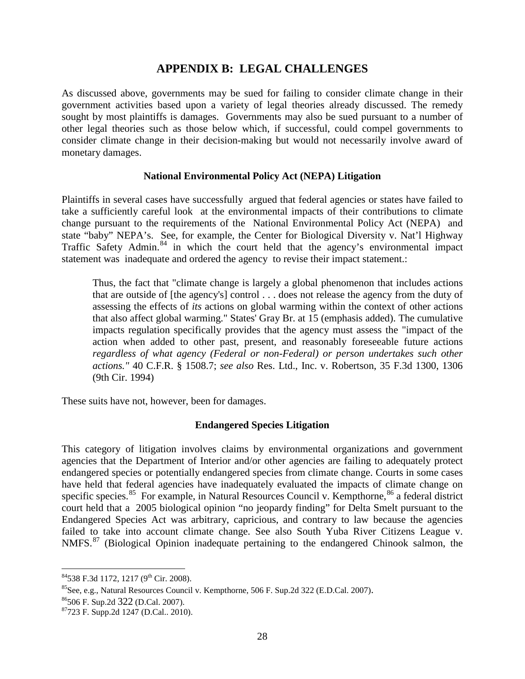### **APPENDIX B: LEGAL CHALLENGES**

<span id="page-32-0"></span>As discussed above, governments may be sued for failing to consider climate change in their government activities based upon a variety of legal theories already discussed. The remedy sought by most plaintiffs is damages. Governments may also be sued pursuant to a number of other legal theories such as those below which, if successful, could compel governments to consider climate change in their decision-making but would not necessarily involve award of monetary damages.

#### **National Environmental Policy Act (NEPA) Litigation**

<span id="page-32-1"></span>Plaintiffs in several cases have successfully argued that federal agencies or states have failed to take a sufficiently careful look at the environmental impacts of their contributions to climate change pursuant to the requirements of the National Environmental Policy Act (NEPA) and state "baby" NEPA's. See, for example, the Center for Biological Diversity v. Nat'l Highway Traffic Safety Admin.<sup>[84](#page-32-3)</sup> in which the court held that the agency's environmental impact statement was inadequate and ordered the agency to revise their impact statement.:

Thus, the fact that "climate change is largely a global phenomenon that includes actions that are outside of [the agency's] control . . . does not release the agency from the duty of assessing the effects of *its* actions on global warming within the context of other actions that also affect global warming." States' Gray Br. at 15 (emphasis added). The cumulative impacts regulation specifically provides that the agency must assess the "impact of the action when added to other past, present, and reasonably foreseeable future actions *regardless of what agency (Federal or non-Federal) or person undertakes such other actions."* 40 C.F.R. § 1508.7; *see also* Res. Ltd., Inc. v. Robertson, 35 F.3d 1300, 1306 (9th Cir. 1994)

<span id="page-32-2"></span>These suits have not, however, been for damages.

#### **Endangered Species Litigation**

This category of litigation involves claims by environmental organizations and government agencies that the Department of Interior and/or other agencies are failing to adequately protect endangered species or potentially endangered species from climate change. Courts in some cases have held that federal agencies have inadequately evaluated the impacts of climate change on specific species.<sup>85</sup> For example, in Natural Resources Council v. Kempthorne,  $86$  a federal district court held that a 2005 biological opinion "no jeopardy finding" for Delta Smelt pursuant to the Endangered Species Act was arbitrary, capricious, and contrary to law because the agencies failed to take into account climate change. See also South Yuba River Citizens League v. NMFS.<sup>[87](#page-32-6)</sup> (Biological Opinion inadequate pertaining to the endangered Chinook salmon, the

<span id="page-32-4"></span><span id="page-32-3"></span> $^{84}$ 538 F.3d 1172, 1217 (9<sup>th</sup> Cir. 2008).<br><sup>85</sup>See, e.g., Natural Resources Council v. Kempthorne, 506 F. Sup.2d 322 (E.D.Cal. 2007).

<span id="page-32-5"></span><sup>86506</sup> F. Sup.2d <sup>322</sup> (D.Cal. 2007). 87723 F. Supp.2d 1247 (D.Cal.. 2010).

<span id="page-32-6"></span>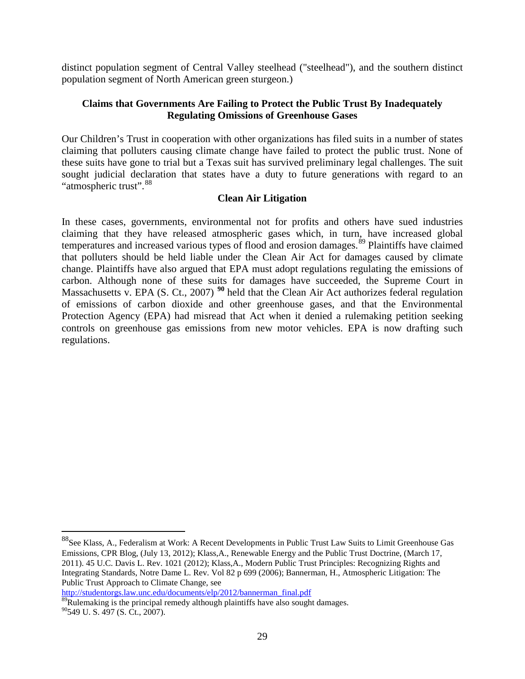distinct population segment of Central Valley steelhead ("steelhead"), and the southern distinct population segment of North American green sturgeon.)

#### <span id="page-33-0"></span>**Claims that Governments Are Failing to Protect the Public Trust By Inadequately Regulating Omissions of Greenhouse Gases**

Our Children's Trust in cooperation with other organizations has filed suits in a number of states claiming that polluters causing climate change have failed to protect the public trust. None of these suits have gone to trial but a Texas suit has survived preliminary legal challenges. The suit sought judicial declaration that states have a duty to future generations with regard to an "atmospheric trust". [88](#page-33-2)

#### **Clean Air Litigation**

<span id="page-33-1"></span>In these cases, governments, environmental not for profits and others have sued industries claiming that they have released atmospheric gases which, in turn, have increased global temperatures and increased various types of flood and erosion damages.<sup>[89](#page-33-3)</sup> Plaintiffs have claimed that polluters should be held liable under the Clean Air Act for damages caused by climate change. Plaintiffs have also argued that EPA must adopt regulations regulating the emissions of carbon. Although none of these suits for damages have succeeded, the Supreme Court in Massachusetts v. EPA (S. Ct., 2007)<sup>[90](#page-33-4)</sup> held that the Clean Air Act authorizes federal regulation of emissions of carbon dioxide and other greenhouse gases, and that the Environmental Protection Agency (EPA) had misread that Act when it denied a rulemaking petition seeking controls on greenhouse gas emissions from new motor vehicles. EPA is now drafting such regulations.

<span id="page-33-3"></span> $\frac{1}{89}$ Rulemaking is the principal remedy although plaintiffs have also sought damages.

<span id="page-33-2"></span> <sup>88</sup>See Klass, A., Federalism at Work: A Recent Developments in Public Trust Law Suits to Limit Greenhouse Gas Emissions, CPR Blog, (July 13, 2012); Klass,A., Renewable Energy and the Public Trust Doctrine, (March 17, 2011). 45 U.C. Davis L. Rev. 1021 (2012); Klass,A., Modern Public Trust Principles: Recognizing Rights and Integrating Standards, Notre Dame L. Rev. Vol 82 p 699 (2006); Bannerman, H., Atmospheric Litigation: The Public Trust Approach to Climate Change, see<br>http://studentorgs.law.unc.edu/documents/elp/2012/bannerman final.pdf

<span id="page-33-4"></span><sup>90549</sup> U. S. 497 (S. Ct., 2007).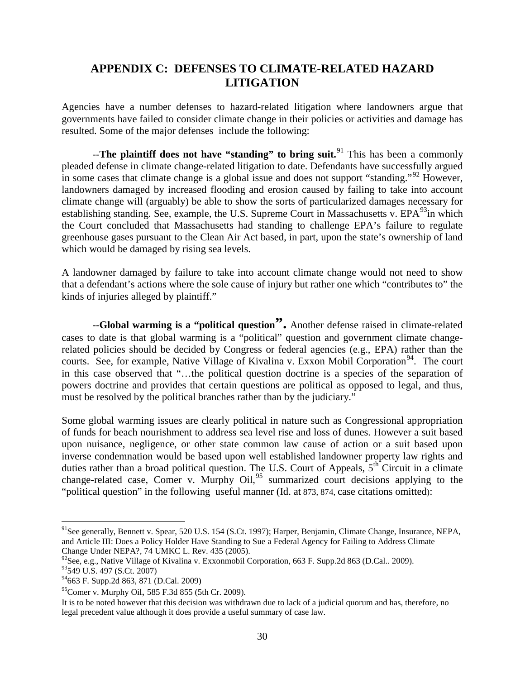# <span id="page-34-0"></span>**APPENDIX C: DEFENSES TO CLIMATE-RELATED HAZARD LITIGATION**

Agencies have a number defenses to hazard-related litigation where landowners argue that governments have failed to consider climate change in their policies or activities and damage has resulted. Some of the major defenses include the following:

--**The plaintiff does not have "standing" to bring suit.** [91](#page-34-1) This has been a commonly pleaded defense in climate change-related litigation to date. Defendants have successfully argued in some cases that climate change is a global issue and does not support "standing."<sup>[92](#page-34-2)</sup> However, landowners damaged by increased flooding and erosion caused by failing to take into account climate change will (arguably) be able to show the sorts of particularized damages necessary for establishing standing. See, example, the U.S. Supreme Court in Massachusetts v.  $EPA^{93}$  $EPA^{93}$  $EPA^{93}$ in which the Court concluded that Massachusetts had standing to challenge EPA's failure to regulate greenhouse gases pursuant to the Clean Air Act based, in part, upon the state's ownership of land which would be damaged by rising sea levels.

A landowner damaged by failure to take into account climate change would not need to show that a defendant's actions where the sole cause of injury but rather one which "contributes to" the kinds of injuries alleged by plaintiff."

--**Global warming is a "political question".** Another defense raised in climate-related cases to date is that global warming is a "political" question and government climate changerelated policies should be decided by Congress or federal agencies (e.g., EPA) rather than the courts. See, for example, Native Village of Kivalina v. Exxon Mobil Corporation<sup>94</sup>. The court in this case observed that "…the political question doctrine is a species of the separation of powers doctrine and provides that certain questions are political as opposed to legal, and thus, must be resolved by the political branches rather than by the judiciary."

Some global warming issues are clearly political in nature such as Congressional appropriation of funds for beach nourishment to address sea level rise and loss of dunes. However a suit based upon nuisance, negligence, or other state common law cause of action or a suit based upon inverse condemnation would be based upon well established landowner property law rights and duties rather than a broad political question. The U.S. Court of Appeals,  $5<sup>th</sup>$  Circuit in a climate change-related case, Comer v. Murphy Oil,<sup>[95](#page-34-5)</sup> summarized court decisions applying to the "political question" in the following useful manner (Id. at 873, 874, case citations omitted):

<span id="page-34-1"></span><sup>&</sup>lt;sup>91</sup>See generally, Bennett v. Spear, 520 U.S. 154 (S.Ct. 1997); Harper, Benjamin, Climate Change, Insurance, NEPA, and Article III: Does a Policy Holder Have Standing to Sue a Federal Agency for Failing to Address Climate Change Under NEPA?, 74 UMKC L. Rev. 435 (2005).

<span id="page-34-3"></span><span id="page-34-2"></span><sup>&</sup>lt;sup>92</sup>See, e.g., Native Village of Kivalina v. Exxonmobil Corporation, 663 F. Supp.2d 863 (D.Cal.. 2009).<br><sup>93</sup>549 U.S. 497 (S.Ct. 2007)

<span id="page-34-4"></span><sup>94663</sup> F. Supp.2d 863, 871 (D.Cal. 2009)

<span id="page-34-5"></span> $^{95}$ Comer v. Murphy Oil, 585 F.3d 855 (5th Cr. 2009).

It is to be noted however that this decision was withdrawn due to lack of a judicial quorum and has, therefore, no legal precedent value although it does provide a useful summary of case law.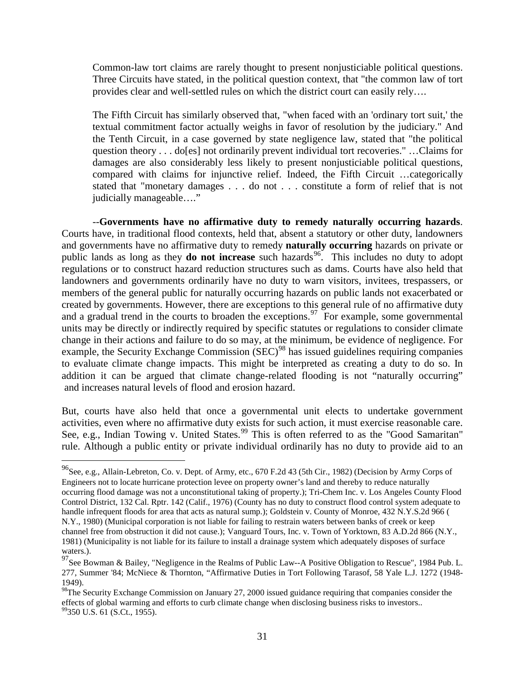Common-law tort claims are rarely thought to present nonjusticiable political questions. Three Circuits have stated, in the political question context, that "the common law of tort provides clear and well-settled rules on which the district court can easily rely….

The Fifth Circuit has similarly observed that, "when faced with an 'ordinary tort suit,' the textual commitment factor actually weighs in favor of resolution by the judiciary." And the Tenth Circuit, in a case governed by state negligence law, stated that "the political question theory . . . do[es] not ordinarily prevent individual tort recoveries." …Claims for damages are also considerably less likely to present nonjusticiable political questions, compared with claims for injunctive relief. Indeed, the Fifth Circuit …categorically stated that "monetary damages . . . do not . . . constitute a form of relief that is not judicially manageable…."

 --**Governments have no affirmative duty to remedy naturally occurring hazards**. Courts have, in traditional flood contexts, held that, absent a statutory or other duty, landowners and governments have no affirmative duty to remedy **naturally occurring** hazards on private or public lands as long as they **do not increase** such hazards<sup>[96](#page-35-0)</sup>. This includes no duty to adopt regulations or to construct hazard reduction structures such as dams. Courts have also held that landowners and governments ordinarily have no duty to warn visitors, invitees, trespassers, or members of the general public for naturally occurring hazards on public lands not exacerbated or created by governments. However, there are exceptions to this general rule of no affirmative duty and a gradual trend in the courts to broaden the exceptions.<sup>[97](#page-35-1)</sup> For example, some governmental units may be directly or indirectly required by specific statutes or regulations to consider climate change in their actions and failure to do so may, at the minimum, be evidence of negligence. For example, the Security Exchange Commission (SEC)<sup>[98](#page-35-2)</sup> has issued guidelines requiring companies to evaluate climate change impacts. This might be interpreted as creating a duty to do so. In addition it can be argued that climate change-related flooding is not "naturally occurring" and increases natural levels of flood and erosion hazard.

But, courts have also held that once a governmental unit elects to undertake government activities, even where no affirmative duty exists for such action, it must exercise reasonable care. See, e.g., Indian Towing v. United States.<sup>[99](#page-35-3)</sup> This is often referred to as the "Good Samaritan" rule. Although a public entity or private individual ordinarily has no duty to provide aid to an

<span id="page-35-0"></span> <sup>96</sup>See, e.g., Allain-Lebreton, Co. v. Dept. of Army, etc., 670 F.2d 43 (5th Cir., 1982) (Decision by Army Corps of Engineers not to locate hurricane protection levee on property owner's land and thereby to reduce naturally occurring flood damage was not a unconstitutional taking of property.); Tri-Chem Inc. v. Los Angeles County Flood Control District, 132 Cal. Rptr. 142 (Calif., 1976) (County has no duty to construct flood control system adequate to handle infrequent floods for area that acts as natural sump.); Goldstein v. County of Monroe, 432 N.Y.S.2d 966 ( N.Y., 1980) (Municipal corporation is not liable for failing to restrain waters between banks of creek or keep channel free from obstruction it did not cause.); Vanguard Tours, Inc. v. Town of Yorktown, 83 A.D.2d 866 (N.Y., 1981) (Municipality is not liable for its failure to install a drainage system which adequately disposes of surface

<span id="page-35-1"></span>waters.). 97See Bowman & Bailey, "Negligence in the Realms of Public Law--A Positive Obligation to Rescue", 1984 Pub. L. 277, Summer '84; McNiece & Thornton, "Affirmative Duties in Tort Following Tarasof, 58 Yale L.J. 1272 (1948- 1949).

<span id="page-35-3"></span><span id="page-35-2"></span><sup>&</sup>lt;sup>98</sup>The Security Exchange Commission on January 27, 2000 issued guidance requiring that companies consider the effects of global warming and efforts to curb climate change when disclosing business risks to investors.. <sup>99</sup>350 U.S. 61 (S.Ct., 1955).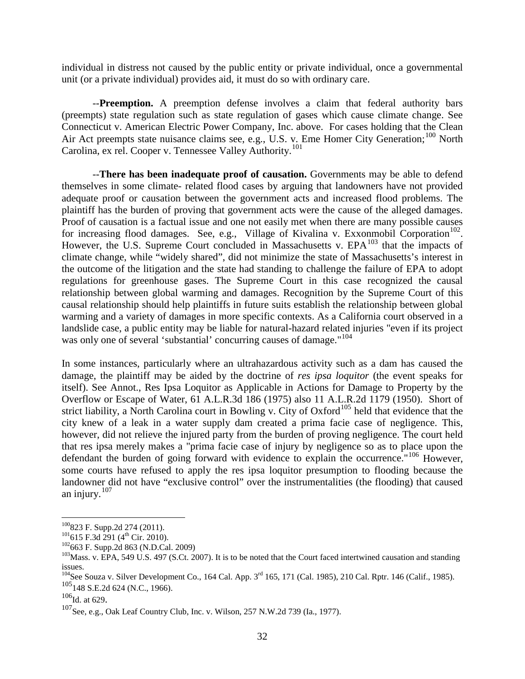individual in distress not caused by the public entity or private individual, once a governmental unit (or a private individual) provides aid, it must do so with ordinary care.

--**Preemption.** A preemption defense involves a claim that federal authority bars (preempts) state regulation such as state regulation of gases which cause climate change. See Connecticut v. American Electric Power Company, Inc. above. For cases holding that the Clean Air Act preempts state nuisance claims see, e.g., U.S. v. Eme Homer City Generation;<sup>[100](#page-36-0)</sup> North Carolina, ex rel. Cooper v. Tennessee Valley Authority.[101](#page-36-1)

--**There has been inadequate proof of causation.** Governments may be able to defend themselves in some climate- related flood cases by arguing that landowners have not provided adequate proof or causation between the government acts and increased flood problems. The plaintiff has the burden of proving that government acts were the cause of the alleged damages. Proof of causation is a factual issue and one not easily met when there are many possible causes for increasing flood damages. See, e.g., Village of Kivalina v. Exxonmobil Corporation<sup>[102](#page-36-2)</sup>. However, the U.S. Supreme Court concluded in Massachusetts v. EPA<sup>[103](#page-36-3)</sup> that the impacts of climate change, while "widely shared", did not minimize the state of Massachusetts's interest in the outcome of the litigation and the state had standing to challenge the failure of EPA to adopt regulations for greenhouse gases. The Supreme Court in this case recognized the causal relationship between global warming and damages. Recognition by the Supreme Court of this causal relationship should help plaintiffs in future suits establish the relationship between global warming and a variety of damages in more specific contexts. As a California court observed in a landslide case, a public entity may be liable for natural-hazard related injuries "even if its project was only one of several 'substantial' concurring causes of damage."<sup>[104](#page-36-4)</sup>

In some instances, particularly where an ultrahazardous activity such as a dam has caused the damage, the plaintiff may be aided by the doctrine of *res ipsa loquitor* (the event speaks for itself). See Annot., Res Ipsa Loquitor as Applicable in Actions for Damage to Property by the Overflow or Escape of Water, 61 A.L.R.3d 186 (1975) also 11 A.L.R.2d 1179 (1950). Short of strict liability, a North Carolina court in Bowling v. City of Oxford<sup>[105](#page-36-5)</sup> held that evidence that the city knew of a leak in a water supply dam created a prima facie case of negligence. This, however, did not relieve the injured party from the burden of proving negligence. The court held that res ipsa merely makes a "prima facie case of injury by negligence so as to place upon the defendant the burden of going forward with evidence to explain the occurrence.<sup>"[106](#page-36-6)</sup> However, some courts have refused to apply the res ipsa loquitor presumption to flooding because the landowner did not have "exclusive control" over the instrumentalities (the flooding) that caused an injury. $107$ 

<span id="page-36-2"></span>

<span id="page-36-1"></span><span id="page-36-0"></span><sup>&</sup>lt;sup>100</sup>823 F. Supp.2d 274 (2011).<br><sup>101</sup>615 F.3d 291 (4<sup>th</sup> Cir. 2010).<br><sup>102</sup>663 F. Supp.2d 863 (N.D.Cal. 2009)<br><sup>103</sup>Mass. v. EPA, 549 U.S. 497 (S.Ct. 2007). It is to be noted that the Court faced intertwined causation and s issues.

<span id="page-36-5"></span><span id="page-36-4"></span><span id="page-36-3"></span><sup>104&</sup>lt;br><sup>104</sup>See Souza v. Silver Development Co., 164 Cal. App. 3<sup>rd</sup> 165, 171 (Cal. 1985), 210 Cal. Rptr. 146 (Calif., 1985).  $^{105}$ 148 S.E.2d 624 (N.C., 1966).<br> $^{106}$ Id. at 629.

<span id="page-36-6"></span>

<span id="page-36-7"></span> $107$ See, e.g., Oak Leaf Country Club, Inc. v. Wilson, 257 N.W.2d 739 (Ia., 1977).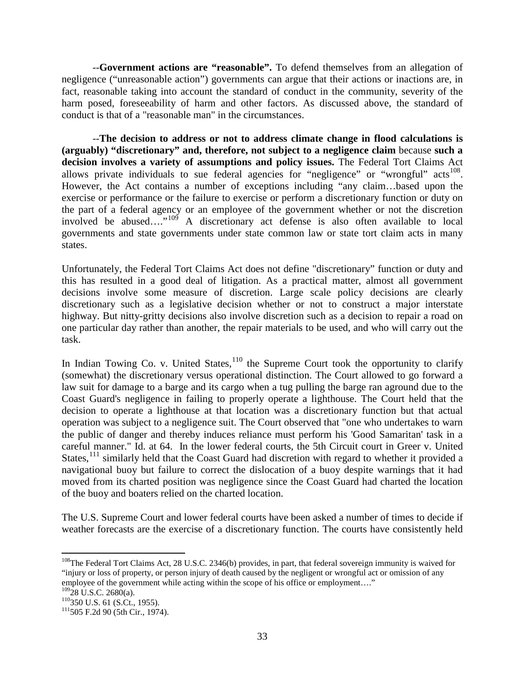--**Government actions are "reasonable".** To defend themselves from an allegation of negligence ("unreasonable action") governments can argue that their actions or inactions are, in fact, reasonable taking into account the standard of conduct in the community, severity of the harm posed, foreseeability of harm and other factors. As discussed above, the standard of conduct is that of a "reasonable man" in the circumstances.

--**The decision to address or not to address climate change in flood calculations is (arguably) "discretionary" and, therefore, not subject to a negligence claim** because **such a decision involves a variety of assumptions and policy issues.** The Federal Tort Claims Act allows private individuals to sue federal agencies for "negligence" or "wrongful" acts<sup>[108](#page-37-0)</sup>. However, the Act contains a number of exceptions including "any claim…based upon the exercise or performance or the failure to exercise or perform a discretionary function or duty on the part of a federal agency or an employee of the government whether or not the discretion involved be abused...."<sup>[109](#page-37-1)</sup> A discretionary act defense is also often available to local governments and state governments under state common law or state tort claim acts in many states.

Unfortunately, the Federal Tort Claims Act does not define "discretionary" function or duty and this has resulted in a good deal of litigation. As a practical matter, almost all government decisions involve some measure of discretion. Large scale policy decisions are clearly discretionary such as a legislative decision whether or not to construct a major interstate highway. But nitty-gritty decisions also involve discretion such as a decision to repair a road on one particular day rather than another, the repair materials to be used, and who will carry out the task.

In Indian Towing Co. v. United States,  $110$  the Supreme Court took the opportunity to clarify (somewhat) the discretionary versus operational distinction. The Court allowed to go forward a law suit for damage to a barge and its cargo when a tug pulling the barge ran aground due to the Coast Guard's negligence in failing to properly operate a lighthouse. The Court held that the decision to operate a lighthouse at that location was a discretionary function but that actual operation was subject to a negligence suit. The Court observed that "one who undertakes to warn the public of danger and thereby induces reliance must perform his 'Good Samaritan' task in a careful manner." Id. at 64. In the lower federal courts, the 5th Circuit court in Greer v. United States, $111$  similarly held that the Coast Guard had discretion with regard to whether it provided a navigational buoy but failure to correct the dislocation of a buoy despite warnings that it had moved from its charted position was negligence since the Coast Guard had charted the location of the buoy and boaters relied on the charted location.

The U.S. Supreme Court and lower federal courts have been asked a number of times to decide if weather forecasts are the exercise of a discretionary function. The courts have consistently held

<span id="page-37-0"></span><sup>&</sup>lt;sup>108</sup>The Federal Tort Claims Act, 28 U.S.C. 2346(b) provides, in part, that federal sovereign immunity is waived for "injury or loss of property, or person injury of death caused by the negligent or wrongful act or omission of any employee of the government while acting within the scope of his office or employment...."<br><sup>109</sup>28 U.S.C. 2680(a).

<span id="page-37-1"></span>

<span id="page-37-3"></span><span id="page-37-2"></span> $^{110}$ 350 U.S. 61 (S.Ct., 1955).<br> $^{111}$ 505 F.2d 90 (5th Cir., 1974).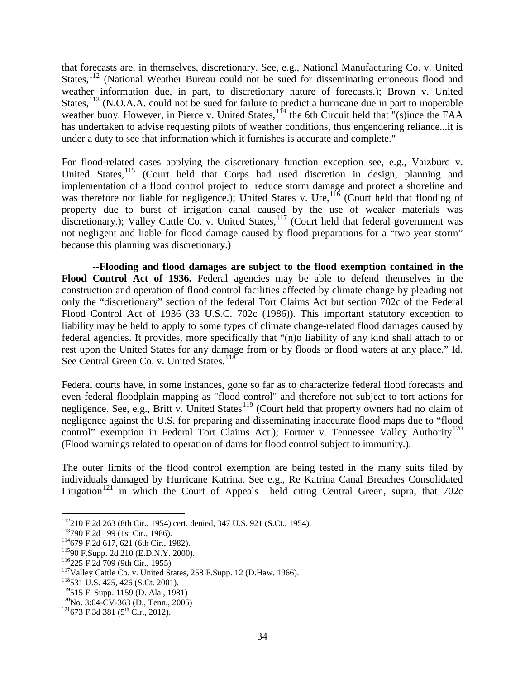that forecasts are, in themselves, discretionary. See, e.g., National Manufacturing Co. v. United States, $112$  (National Weather Bureau could not be sued for disseminating erroneous flood and weather information due, in part, to discretionary nature of forecasts.); Brown v. United States,  $^{113}$  $^{113}$  $^{113}$  (N.O.A.A. could not be sued for failure to predict a hurricane due in part to inoperable weather buoy. However, in Pierce v. United States,  $1<sup>14</sup>$  the 6th Circuit held that "(s)ince the FAA has undertaken to advise requesting pilots of weather conditions, thus engendering reliance...it is under a duty to see that information which it furnishes is accurate and complete."

For flood-related cases applying the discretionary function exception see, e.g., Vaizburd v. United States,<sup>[115](#page-38-3)</sup> (Court held that Corps had used discretion in design, planning and implementation of a flood control project to reduce storm damage and protect a shoreline and was therefore not liable for negligence.); United States v. Ure,  $116$  (Court held that flooding of property due to burst of irrigation canal caused by the use of weaker materials was discretionary.); Valley Cattle Co. v. United States,  $117$  (Court held that federal government was not negligent and liable for flood damage caused by flood preparations for a "two year storm" because this planning was discretionary.)

--**Flooding and flood damages are subject to the flood exemption contained in the Flood Control Act of 1936.** Federal agencies may be able to defend themselves in the construction and operation of flood control facilities affected by climate change by pleading not only the "discretionary" section of the federal Tort Claims Act but section 702c of the Federal Flood Control Act of 1936 (33 U.S.C. 702c (1986)). This important statutory exception to liability may be held to apply to some types of climate change-related flood damages caused by federal agencies. It provides, more specifically that "(n)o liability of any kind shall attach to or rest upon the United States for any damage from or by floods or flood waters at any place." Id. See Central Green Co. v. United States.<sup>[118](#page-38-6)</sup>

Federal courts have, in some instances, gone so far as to characterize federal flood forecasts and even federal floodplain mapping as "flood control" and therefore not subject to tort actions for negligence. See, e.g., Britt v. United States<sup>[119](#page-38-7)</sup> (Court held that property owners had no claim of negligence against the U.S. for preparing and disseminating inaccurate flood maps due to "flood control" exemption in Federal Tort Claims Act.); Fortner v. Tennessee Valley Authority<sup>[120](#page-38-8)</sup> (Flood warnings related to operation of dams for flood control subject to immunity.).

The outer limits of the flood control exemption are being tested in the many suits filed by individuals damaged by Hurricane Katrina. See e.g., Re Katrina Canal Breaches Consolidated Litigation<sup>[121](#page-38-9)</sup> in which the Court of Appeals held citing Central Green, supra, that  $702c$ 

<span id="page-38-1"></span><span id="page-38-0"></span><sup>&</sup>lt;sup>112</sup>210 F.2d 263 (8th Cir., 1954) cert. denied, 347 U.S. 921 (S.Ct., 1954).<br><sup>113</sup>790 F.2d 199 (1st Cir., 1986).<br><sup>114</sup>679 F.2d 617, 621 (6th Cir., 1982).<br><sup>115</sup>90 F.Supp. 2d 210 (E.D.N.Y. 2000).<br><sup>116</sup>225 F.2d 709 (9th Cir.

<span id="page-38-2"></span>

<span id="page-38-3"></span>

<span id="page-38-4"></span>

<span id="page-38-5"></span>

<span id="page-38-6"></span>

<span id="page-38-7"></span>

<span id="page-38-8"></span><sup>&</sup>lt;sup>120</sup>No. 3:04-CV-363 (D., Tenn., 2005) <sup>121</sup>673 F.3d 381 (5<sup>th</sup> Cir., 2012).

<span id="page-38-9"></span>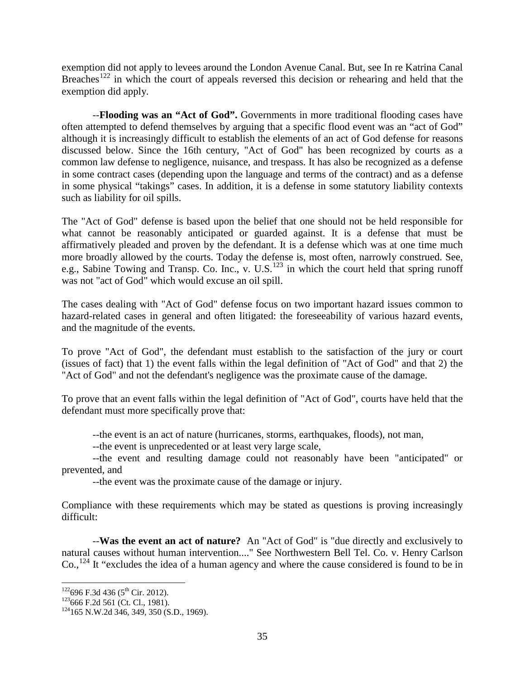exemption did not apply to levees around the London Avenue Canal. But, see In re Katrina Canal Breaches<sup>[122](#page-39-0)</sup> in which the court of appeals reversed this decision or rehearing and held that the exemption did apply.

--**Flooding was an "Act of God".** Governments in more traditional flooding cases have often attempted to defend themselves by arguing that a specific flood event was an "act of God" although it is increasingly difficult to establish the elements of an act of God defense for reasons discussed below. Since the 16th century, "Act of God" has been recognized by courts as a common law defense to negligence, nuisance, and trespass. It has also be recognized as a defense in some contract cases (depending upon the language and terms of the contract) and as a defense in some physical "takings" cases. In addition, it is a defense in some statutory liability contexts such as liability for oil spills.

The "Act of God" defense is based upon the belief that one should not be held responsible for what cannot be reasonably anticipated or guarded against. It is a defense that must be affirmatively pleaded and proven by the defendant. It is a defense which was at one time much more broadly allowed by the courts. Today the defense is, most often, narrowly construed. See, e.g., Sabine Towing and Transp. Co. Inc., v. U.S.<sup>[123](#page-39-1)</sup> in which the court held that spring runoff was not "act of God" which would excuse an oil spill.

The cases dealing with "Act of God" defense focus on two important hazard issues common to hazard-related cases in general and often litigated: the foreseeability of various hazard events, and the magnitude of the events.

To prove "Act of God", the defendant must establish to the satisfaction of the jury or court (issues of fact) that 1) the event falls within the legal definition of "Act of God" and that 2) the "Act of God" and not the defendant's negligence was the proximate cause of the damage.

To prove that an event falls within the legal definition of "Act of God", courts have held that the defendant must more specifically prove that:

--the event is an act of nature (hurricanes, storms, earthquakes, floods), not man,

--the event is unprecedented or at least very large scale,

--the event and resulting damage could not reasonably have been "anticipated" or prevented, and

--the event was the proximate cause of the damage or injury.

Compliance with these requirements which may be stated as questions is proving increasingly difficult:

--**Was the event an act of nature?** An "Act of God" is "due directly and exclusively to natural causes without human intervention...." See Northwestern Bell Tel. Co. v. Henry Carlson  $Co.,<sup>124</sup>$  $Co.,<sup>124</sup>$  $Co.,<sup>124</sup>$  It "excludes the idea of a human agency and where the cause considered is found to be in

<span id="page-39-2"></span><span id="page-39-1"></span>

<span id="page-39-0"></span><sup>&</sup>lt;sup>122</sup>696 F.3d 436 (5<sup>th</sup> Cir. 2012).<br><sup>123</sup>666 F.2d 561 (Ct. Cl., 1981).<br><sup>124</sup>165 N.W.2d 346, 349, 350 (S.D., 1969).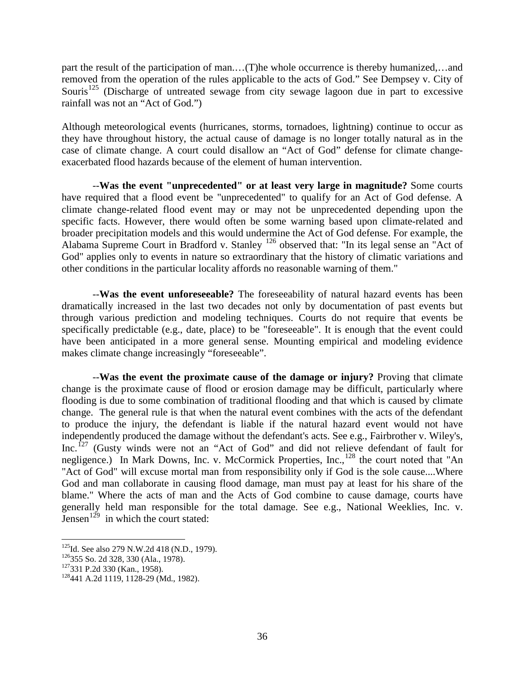part the result of the participation of man.…(T)he whole occurrence is thereby humanized,…and removed from the operation of the rules applicable to the acts of God." See Dempsey v. City of Souris<sup>[125](#page-40-0)</sup> (Discharge of untreated sewage from city sewage lagoon due in part to excessive rainfall was not an "Act of God.")

Although meteorological events (hurricanes, storms, tornadoes, lightning) continue to occur as they have throughout history, the actual cause of damage is no longer totally natural as in the case of climate change. A court could disallow an "Act of God" defense for climate changeexacerbated flood hazards because of the element of human intervention.

--**Was the event "unprecedented" or at least very large in magnitude?** Some courts have required that a flood event be "unprecedented" to qualify for an Act of God defense. A climate change-related flood event may or may not be unprecedented depending upon the specific facts. However, there would often be some warning based upon climate-related and broader precipitation models and this would undermine the Act of God defense. For example, the Alabama Supreme Court in Bradford v. Stanley [126](#page-40-1) observed that: "In its legal sense an "Act of God" applies only to events in nature so extraordinary that the history of climatic variations and other conditions in the particular locality affords no reasonable warning of them."

--**Was the event unforeseeable?** The foreseeability of natural hazard events has been dramatically increased in the last two decades not only by documentation of past events but through various prediction and modeling techniques. Courts do not require that events be specifically predictable (e.g., date, place) to be "foreseeable". It is enough that the event could have been anticipated in a more general sense. Mounting empirical and modeling evidence makes climate change increasingly "foreseeable".

--**Was the event the proximate cause of the damage or injury?** Proving that climate change is the proximate cause of flood or erosion damage may be difficult, particularly where flooding is due to some combination of traditional flooding and that which is caused by climate change. The general rule is that when the natural event combines with the acts of the defendant to produce the injury, the defendant is liable if the natural hazard event would not have independently produced the damage without the defendant's acts. See e.g., Fairbrother v. Wiley's, Inc.<sup>[127](#page-40-2)</sup> (Gusty winds were not an "Act of God" and did not relieve defendant of fault for negligence.) In Mark Downs, Inc. v. McCormick Properties, Inc., $^{128}$  $^{128}$  $^{128}$  the court noted that "An "Act of God" will excuse mortal man from responsibility only if God is the sole cause....Where God and man collaborate in causing flood damage, man must pay at least for his share of the blame." Where the acts of man and the Acts of God combine to cause damage, courts have generally held man responsible for the total damage. See e.g., National Weeklies, Inc. v. Jensen<sup>[129](#page-40-4)</sup> in which the court stated:

<span id="page-40-0"></span><sup>&</sup>lt;sup>125</sup>Id. See also 279 N.W.2d 418 (N.D., 1979).<br><sup>126</sup>355 So. 2d 328, 330 (Ala., 1978).<br><sup>127</sup>331 P.2d 330 (Kan., 1958). <sup>128</sup>441 A.2d 1119, 1128-29 (Md., 1982).

<span id="page-40-1"></span>

<span id="page-40-2"></span>

<span id="page-40-4"></span><span id="page-40-3"></span>